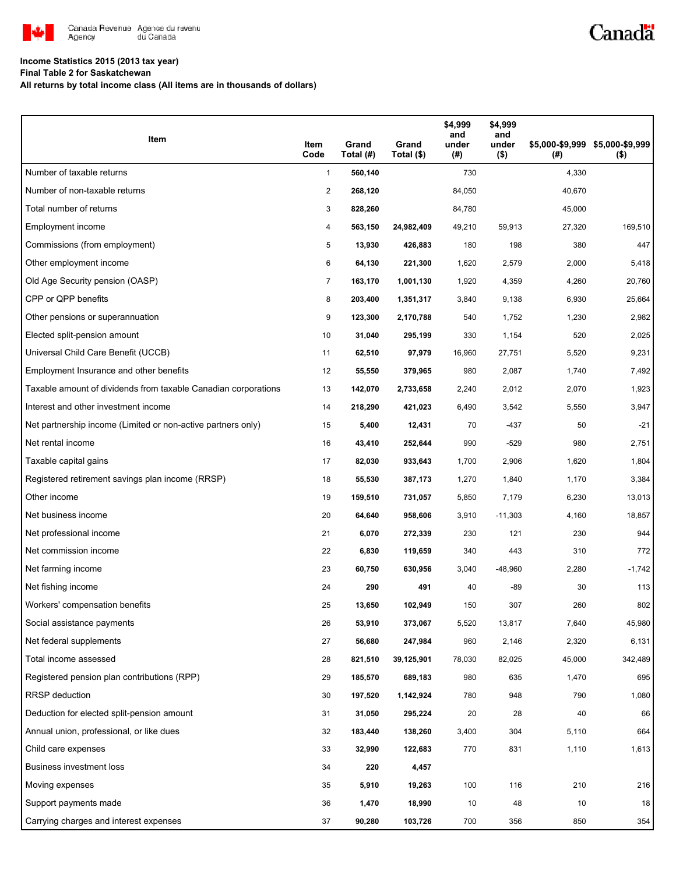

# Canadä

### **Income Statistics 2015 (2013 tax year)**

**Final Table 2 for Saskatchewan**

**All returns by total income class (All items are in thousands of dollars)**

| Item                                                           | Item<br>Code   | Grand<br>Total (#) | Grand<br>Total (\$) | \$4,999<br>and<br>under<br>(#) | \$4,999<br>and<br>under<br>$($ \$) | (#)    | \$5,000-\$9,999 \$5,000-\$9,999<br>$($ \$) |
|----------------------------------------------------------------|----------------|--------------------|---------------------|--------------------------------|------------------------------------|--------|--------------------------------------------|
| Number of taxable returns                                      | $\mathbf{1}$   | 560,140            |                     | 730                            |                                    | 4,330  |                                            |
| Number of non-taxable returns                                  | 2              | 268,120            |                     | 84,050                         |                                    | 40,670 |                                            |
| Total number of returns                                        | 3              | 828,260            |                     | 84,780                         |                                    | 45,000 |                                            |
| Employment income                                              | 4              | 563,150            | 24,982,409          | 49,210                         | 59,913                             | 27,320 | 169,510                                    |
| Commissions (from employment)                                  | 5              | 13,930             | 426,883             | 180                            | 198                                | 380    | 447                                        |
| Other employment income                                        | 6              | 64,130             | 221,300             | 1,620                          | 2,579                              | 2,000  | 5,418                                      |
| Old Age Security pension (OASP)                                | $\overline{7}$ | 163,170            | 1,001,130           | 1,920                          | 4,359                              | 4,260  | 20,760                                     |
| CPP or QPP benefits                                            | 8              | 203,400            | 1,351,317           | 3,840                          | 9,138                              | 6,930  | 25,664                                     |
| Other pensions or superannuation                               | 9              | 123,300            | 2,170,788           | 540                            | 1,752                              | 1,230  | 2,982                                      |
| Elected split-pension amount                                   | 10             | 31,040             | 295,199             | 330                            | 1,154                              | 520    | 2,025                                      |
| Universal Child Care Benefit (UCCB)                            | 11             | 62,510             | 97,979              | 16,960                         | 27,751                             | 5,520  | 9,231                                      |
| Employment Insurance and other benefits                        | 12             | 55,550             | 379,965             | 980                            | 2,087                              | 1,740  | 7,492                                      |
| Taxable amount of dividends from taxable Canadian corporations | 13             | 142,070            | 2,733,658           | 2,240                          | 2,012                              | 2,070  | 1,923                                      |
| Interest and other investment income                           | 14             | 218,290            | 421,023             | 6,490                          | 3,542                              | 5,550  | 3,947                                      |
| Net partnership income (Limited or non-active partners only)   | 15             | 5,400              | 12,431              | 70                             | $-437$                             | 50     | $-21$                                      |
| Net rental income                                              | 16             | 43,410             | 252,644             | 990                            | $-529$                             | 980    | 2,751                                      |
| Taxable capital gains                                          | 17             | 82,030             | 933,643             | 1,700                          | 2,906                              | 1,620  | 1,804                                      |
| Registered retirement savings plan income (RRSP)               | 18             | 55,530             | 387,173             | 1,270                          | 1,840                              | 1,170  | 3,384                                      |
| Other income                                                   | 19             | 159,510            | 731,057             | 5,850                          | 7,179                              | 6,230  | 13,013                                     |
| Net business income                                            | 20             | 64,640             | 958,606             | 3,910                          | $-11,303$                          | 4,160  | 18,857                                     |
| Net professional income                                        | 21             | 6,070              | 272,339             | 230                            | 121                                | 230    | 944                                        |
| Net commission income                                          | 22             | 6,830              | 119,659             | 340                            | 443                                | 310    | 772                                        |
| Net farming income                                             | 23             | 60,750             | 630,956             | 3,040                          | $-48,960$                          | 2,280  | $-1,742$                                   |
| Net fishing income                                             | 24             | 290                | 491                 | 40                             | -89                                | 30     | 113                                        |
| Workers' compensation benefits                                 | 25             | 13,650             | 102,949             | 150                            | 307                                | 260    | 802                                        |
| Social assistance payments                                     | 26             | 53,910             | 373,067             | 5,520                          | 13,817                             | 7,640  | 45,980                                     |
| Net federal supplements                                        | 27             | 56,680             | 247,984             | 960                            | 2,146                              | 2,320  | 6,131                                      |
| Total income assessed                                          | 28             | 821,510            | 39,125,901          | 78,030                         | 82,025                             | 45,000 | 342,489                                    |
| Registered pension plan contributions (RPP)                    | 29             | 185,570            | 689,183             | 980                            | 635                                | 1,470  | 695                                        |
| RRSP deduction                                                 | 30             | 197,520            | 1,142,924           | 780                            | 948                                | 790    | 1,080                                      |
| Deduction for elected split-pension amount                     | 31             | 31,050             | 295,224             | 20                             | 28                                 | 40     | 66                                         |
| Annual union, professional, or like dues                       | 32             | 183,440            | 138,260             | 3,400                          | 304                                | 5,110  | 664                                        |
| Child care expenses                                            | 33             | 32,990             | 122,683             | 770                            | 831                                | 1,110  | 1,613                                      |
| Business investment loss                                       | 34             | 220                | 4,457               |                                |                                    |        |                                            |
| Moving expenses                                                | 35             | 5,910              | 19,263              | 100                            | 116                                | 210    | 216                                        |
| Support payments made                                          | 36             | 1,470              | 18,990              | 10                             | 48                                 | 10     | 18                                         |
| Carrying charges and interest expenses                         | 37             | 90,280             | 103,726             | 700                            | 356                                | 850    | 354                                        |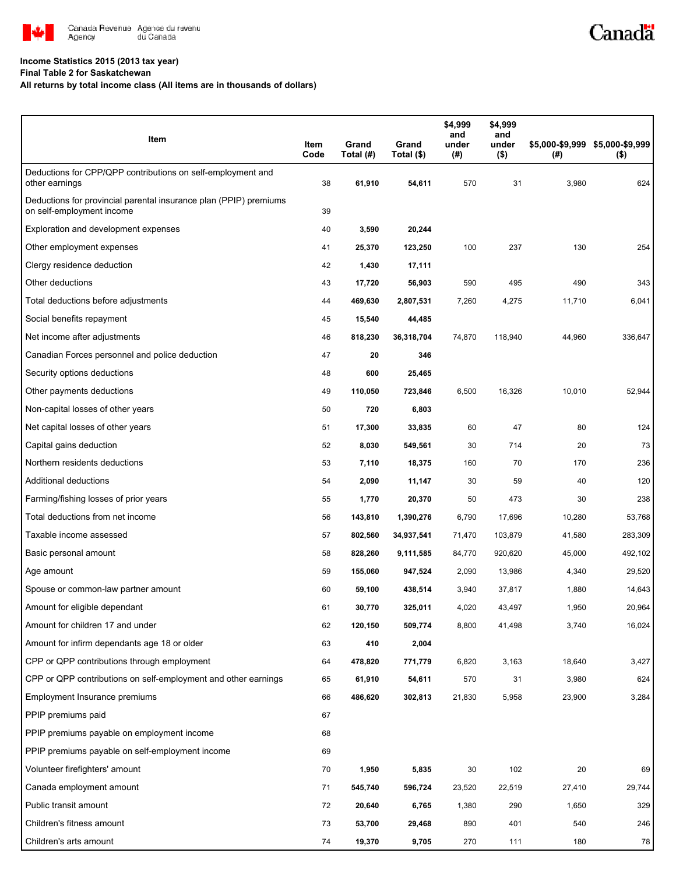

#### **Income Statistics 2015 (2013 tax year)**

**Final Table 2 for Saskatchewan**

#### **All returns by total income class (All items are in thousands of dollars)**

| Item                                                                                           | Item<br>Code | Grand<br>Total (#) | Grand<br>Total (\$) | \$4,999<br>and<br>under<br>(#) | \$4,999<br>and<br>under<br>$($ \$) | (#)    | \$5,000-\$9,999 \$5,000-\$9,999<br>$($ \$) |
|------------------------------------------------------------------------------------------------|--------------|--------------------|---------------------|--------------------------------|------------------------------------|--------|--------------------------------------------|
| Deductions for CPP/QPP contributions on self-employment and<br>other earnings                  | 38           | 61,910             | 54,611              | 570                            | 31                                 | 3,980  | 624                                        |
| Deductions for provincial parental insurance plan (PPIP) premiums<br>on self-employment income | 39           |                    |                     |                                |                                    |        |                                            |
| Exploration and development expenses                                                           | 40           | 3,590              | 20,244              |                                |                                    |        |                                            |
| Other employment expenses                                                                      | 41           | 25,370             | 123,250             | 100                            | 237                                | 130    | 254                                        |
| Clergy residence deduction                                                                     | 42           | 1,430              | 17,111              |                                |                                    |        |                                            |
| Other deductions                                                                               | 43           | 17,720             | 56,903              | 590                            | 495                                | 490    | 343                                        |
| Total deductions before adjustments                                                            | 44           | 469,630            | 2,807,531           | 7,260                          | 4,275                              | 11,710 | 6,041                                      |
| Social benefits repayment                                                                      | 45           | 15,540             | 44,485              |                                |                                    |        |                                            |
| Net income after adjustments                                                                   | 46           | 818,230            | 36,318,704          | 74,870                         | 118,940                            | 44,960 | 336,647                                    |
| Canadian Forces personnel and police deduction                                                 | 47           | 20                 | 346                 |                                |                                    |        |                                            |
| Security options deductions                                                                    | 48           | 600                | 25,465              |                                |                                    |        |                                            |
| Other payments deductions                                                                      | 49           | 110,050            | 723,846             | 6,500                          | 16,326                             | 10,010 | 52,944                                     |
| Non-capital losses of other years                                                              | 50           | 720                | 6,803               |                                |                                    |        |                                            |
| Net capital losses of other years                                                              | 51           | 17,300             | 33,835              | 60                             | 47                                 | 80     | 124                                        |
| Capital gains deduction                                                                        | 52           | 8,030              | 549,561             | 30                             | 714                                | 20     | 73                                         |
| Northern residents deductions                                                                  | 53           | 7,110              | 18,375              | 160                            | 70                                 | 170    | 236                                        |
| Additional deductions                                                                          | 54           | 2,090              | 11,147              | 30                             | 59                                 | 40     | 120                                        |
| Farming/fishing losses of prior years                                                          | 55           | 1,770              | 20,370              | 50                             | 473                                | 30     | 238                                        |
| Total deductions from net income                                                               | 56           | 143,810            | 1,390,276           | 6,790                          | 17,696                             | 10,280 | 53,768                                     |
| Taxable income assessed                                                                        | 57           | 802,560            | 34,937,541          | 71,470                         | 103,879                            | 41,580 | 283,309                                    |
| Basic personal amount                                                                          | 58           | 828,260            | 9,111,585           | 84,770                         | 920,620                            | 45,000 | 492,102                                    |
| Age amount                                                                                     | 59           | 155,060            | 947,524             | 2,090                          | 13,986                             | 4,340  | 29,520                                     |
| Spouse or common-law partner amount                                                            | 60           | 59,100             | 438,514             | 3,940                          | 37.817                             | 1,880  | 14,643                                     |
| Amount for eligible dependant                                                                  | 61           | 30,770             | 325,011             | 4,020                          | 43,497                             | 1,950  | 20,964                                     |
| Amount for children 17 and under                                                               | 62           | 120,150            | 509,774             | 8,800                          | 41,498                             | 3,740  | 16,024                                     |
| Amount for infirm dependants age 18 or older                                                   | 63           | 410                | 2,004               |                                |                                    |        |                                            |
| CPP or QPP contributions through employment                                                    | 64           | 478,820            | 771,779             | 6,820                          | 3,163                              | 18,640 | 3,427                                      |
| CPP or QPP contributions on self-employment and other earnings                                 | 65           | 61,910             | 54,611              | 570                            | 31                                 | 3,980  | 624                                        |
| Employment Insurance premiums                                                                  | 66           | 486,620            | 302,813             | 21,830                         | 5,958                              | 23,900 | 3,284                                      |
| PPIP premiums paid                                                                             | 67           |                    |                     |                                |                                    |        |                                            |
| PPIP premiums payable on employment income                                                     | 68           |                    |                     |                                |                                    |        |                                            |
| PPIP premiums payable on self-employment income                                                | 69           |                    |                     |                                |                                    |        |                                            |
| Volunteer firefighters' amount                                                                 | 70           | 1,950              | 5,835               | 30                             | 102                                | 20     | 69                                         |
| Canada employment amount                                                                       | 71           | 545,740            | 596,724             | 23,520                         | 22,519                             | 27,410 | 29,744                                     |
| Public transit amount                                                                          | 72           | 20,640             | 6,765               | 1,380                          | 290                                | 1,650  | 329                                        |
| Children's fitness amount                                                                      | 73           | 53,700             | 29,468              | 890                            | 401                                | 540    | 246                                        |
| Children's arts amount                                                                         | 74           | 19,370             | 9,705               | 270                            | 111                                | 180    | 78                                         |

Canadä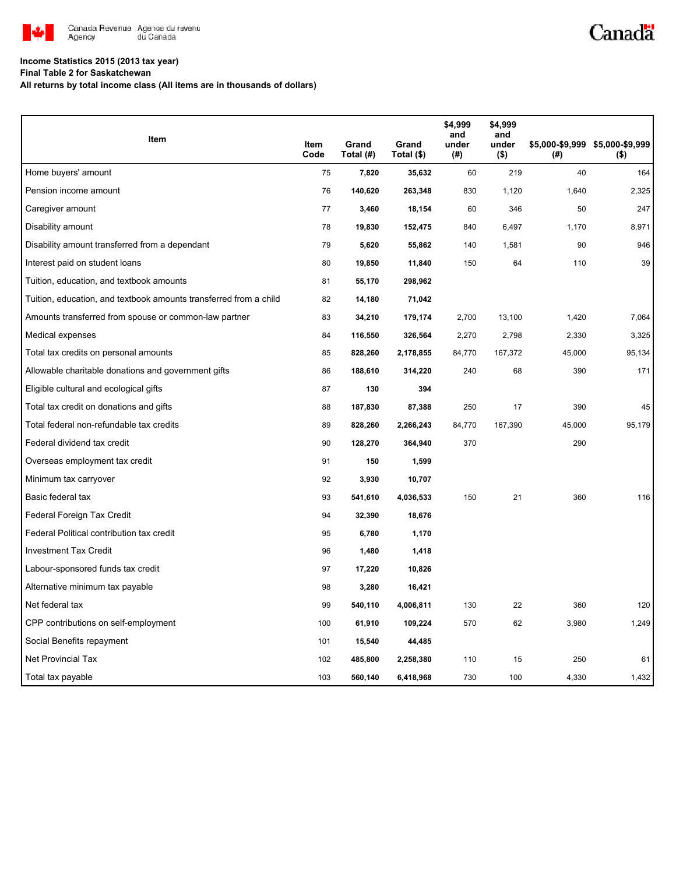

# Canadä

### **Income Statistics 2015 (2013 tax year)**

**Final Table 2 for Saskatchewan**

**All returns by total income class (All items are in thousands of dollars)**

| Item                                                              |              |                    |                     | \$4,999<br>and  | \$4,999<br>and   |        |                                            |
|-------------------------------------------------------------------|--------------|--------------------|---------------------|-----------------|------------------|--------|--------------------------------------------|
|                                                                   | Item<br>Code | Grand<br>Total (#) | Grand<br>Total (\$) | under<br>$($ #) | under<br>$($ \$) | (#)    | \$5,000-\$9,999 \$5,000-\$9,999<br>$($ \$) |
| Home buyers' amount                                               | 75           | 7,820              | 35,632              | 60              | 219              | 40     | 164                                        |
| Pension income amount                                             | 76           | 140,620            | 263,348             | 830             | 1,120            | 1,640  | 2,325                                      |
| Caregiver amount                                                  | 77           | 3,460              | 18,154              | 60              | 346              | 50     | 247                                        |
| Disability amount                                                 | 78           | 19,830             | 152,475             | 840             | 6,497            | 1,170  | 8,971                                      |
| Disability amount transferred from a dependant                    | 79           | 5,620              | 55,862              | 140             | 1,581            | 90     | 946                                        |
| Interest paid on student loans                                    | 80           | 19,850             | 11,840              | 150             | 64               | 110    | 39                                         |
| Tuition, education, and textbook amounts                          | 81           | 55,170             | 298,962             |                 |                  |        |                                            |
| Tuition, education, and textbook amounts transferred from a child | 82           | 14,180             | 71,042              |                 |                  |        |                                            |
| Amounts transferred from spouse or common-law partner             | 83           | 34,210             | 179,174             | 2,700           | 13,100           | 1,420  | 7,064                                      |
| Medical expenses                                                  | 84           | 116,550            | 326,564             | 2,270           | 2,798            | 2,330  | 3,325                                      |
| Total tax credits on personal amounts                             | 85           | 828,260            | 2,178,855           | 84,770          | 167,372          | 45,000 | 95,134                                     |
| Allowable charitable donations and government gifts               | 86           | 188,610            | 314,220             | 240             | 68               | 390    | 171                                        |
| Eligible cultural and ecological gifts                            | 87           | 130                | 394                 |                 |                  |        |                                            |
| Total tax credit on donations and gifts                           | 88           | 187,830            | 87,388              | 250             | 17               | 390    | 45                                         |
| Total federal non-refundable tax credits                          | 89           | 828,260            | 2,266,243           | 84,770          | 167,390          | 45,000 | 95,179                                     |
| Federal dividend tax credit                                       | 90           | 128,270            | 364,940             | 370             |                  | 290    |                                            |
| Overseas employment tax credit                                    | 91           | 150                | 1,599               |                 |                  |        |                                            |
| Minimum tax carryover                                             | 92           | 3,930              | 10,707              |                 |                  |        |                                            |
| Basic federal tax                                                 | 93           | 541,610            | 4,036,533           | 150             | 21               | 360    | 116                                        |
| Federal Foreign Tax Credit                                        | 94           | 32,390             | 18,676              |                 |                  |        |                                            |
| Federal Political contribution tax credit                         | 95           | 6,780              | 1,170               |                 |                  |        |                                            |
| <b>Investment Tax Credit</b>                                      | 96           | 1,480              | 1,418               |                 |                  |        |                                            |
| Labour-sponsored funds tax credit                                 | 97           | 17,220             | 10,826              |                 |                  |        |                                            |
| Alternative minimum tax payable                                   | 98           | 3,280              | 16,421              |                 |                  |        |                                            |
| Net federal tax                                                   | 99           | 540,110            | 4,006,811           | 130             | 22               | 360    | 120                                        |
| CPP contributions on self-employment                              | 100          | 61,910             | 109,224             | 570             | 62               | 3,980  | 1,249                                      |
| Social Benefits repayment                                         | 101          | 15,540             | 44,485              |                 |                  |        |                                            |
| Net Provincial Tax                                                | 102          | 485,800            | 2,258,380           | 110             | 15               | 250    | 61                                         |
| Total tax payable                                                 | 103          | 560,140            | 6,418,968           | 730             | 100              | 4,330  | 1,432                                      |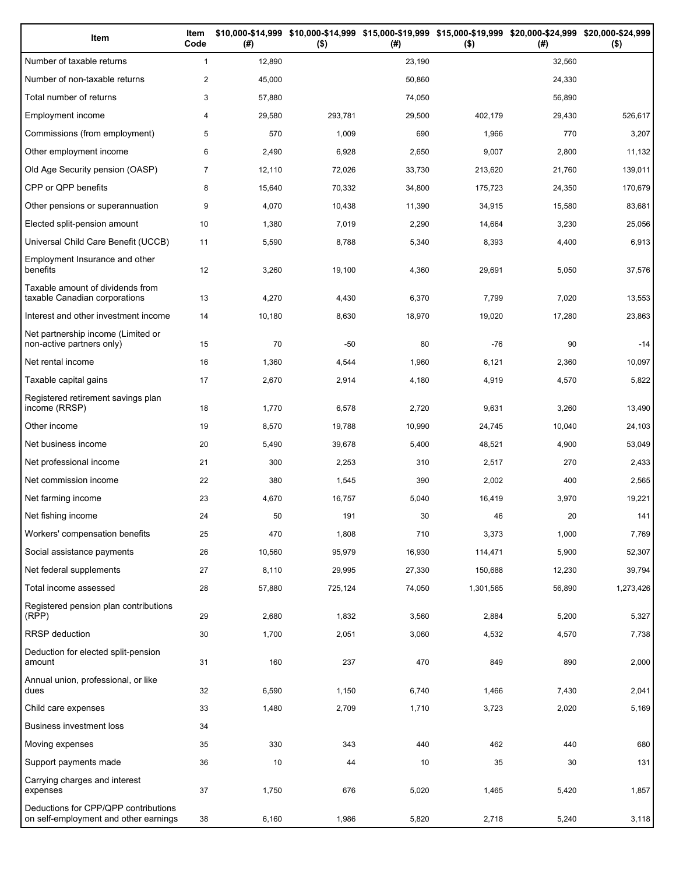| Item                                                                          | Item<br>Code   | (# )   | $($ \$) | (# )   | \$10,000-\$14,999 \$10,000-\$14,999 \$15,000-\$19,999 \$15,000-\$19,999 \$20,000-\$24,999 \$20,000-\$24,999<br>$($ \$) | (#)    | $($ \$)   |
|-------------------------------------------------------------------------------|----------------|--------|---------|--------|------------------------------------------------------------------------------------------------------------------------|--------|-----------|
| Number of taxable returns                                                     | $\mathbf{1}$   | 12,890 |         | 23,190 |                                                                                                                        | 32,560 |           |
| Number of non-taxable returns                                                 | $\overline{c}$ | 45,000 |         | 50,860 |                                                                                                                        | 24,330 |           |
| Total number of returns                                                       | 3              | 57,880 |         | 74,050 |                                                                                                                        | 56,890 |           |
| Employment income                                                             | 4              | 29,580 | 293,781 | 29,500 | 402,179                                                                                                                | 29,430 | 526,617   |
| Commissions (from employment)                                                 | 5              | 570    | 1,009   | 690    | 1,966                                                                                                                  | 770    | 3,207     |
| Other employment income                                                       | 6              | 2,490  | 6,928   | 2,650  | 9,007                                                                                                                  | 2,800  | 11,132    |
| Old Age Security pension (OASP)                                               | $\overline{7}$ | 12,110 | 72,026  | 33,730 | 213,620                                                                                                                | 21,760 | 139,011   |
| CPP or QPP benefits                                                           | 8              | 15,640 | 70,332  | 34,800 | 175,723                                                                                                                | 24,350 | 170,679   |
| Other pensions or superannuation                                              | 9              | 4,070  | 10,438  | 11,390 | 34,915                                                                                                                 | 15,580 | 83,681    |
| Elected split-pension amount                                                  | 10             | 1,380  | 7,019   | 2,290  | 14,664                                                                                                                 | 3,230  | 25,056    |
| Universal Child Care Benefit (UCCB)                                           | 11             | 5,590  | 8,788   | 5,340  | 8,393                                                                                                                  | 4,400  | 6,913     |
| Employment Insurance and other<br>benefits                                    | 12             | 3,260  | 19,100  | 4,360  | 29,691                                                                                                                 | 5,050  | 37,576    |
| Taxable amount of dividends from<br>taxable Canadian corporations             | 13             | 4,270  | 4,430   | 6,370  | 7,799                                                                                                                  | 7,020  | 13,553    |
| Interest and other investment income                                          | 14             | 10,180 | 8,630   | 18,970 | 19,020                                                                                                                 | 17,280 | 23,863    |
| Net partnership income (Limited or<br>non-active partners only)               | 15             | 70     | $-50$   | 80     | $-76$                                                                                                                  | 90     | $-14$     |
| Net rental income                                                             | 16             | 1,360  | 4,544   | 1,960  | 6,121                                                                                                                  | 2,360  | 10,097    |
| Taxable capital gains                                                         | 17             | 2,670  | 2,914   | 4,180  | 4,919                                                                                                                  | 4,570  | 5,822     |
| Registered retirement savings plan<br>income (RRSP)                           | 18             | 1,770  | 6,578   | 2,720  | 9,631                                                                                                                  | 3,260  | 13,490    |
| Other income                                                                  | 19             | 8,570  | 19,788  | 10,990 | 24,745                                                                                                                 | 10,040 | 24,103    |
| Net business income                                                           | 20             | 5,490  | 39,678  | 5,400  | 48,521                                                                                                                 | 4,900  | 53,049    |
| Net professional income                                                       | 21             | 300    | 2,253   | 310    | 2,517                                                                                                                  | 270    | 2,433     |
| Net commission income                                                         | 22             | 380    | 1,545   | 390    | 2,002                                                                                                                  | 400    | 2,565     |
| Net farming income                                                            | 23             | 4,670  | 16,757  | 5,040  | 16,419                                                                                                                 | 3,970  | 19,221    |
| Net fishing income                                                            | 24             | 50     | 191     | 30     | 46                                                                                                                     | 20     | 141       |
| Workers' compensation benefits                                                | 25             | 470    | 1,808   | 710    | 3,373                                                                                                                  | 1,000  | 7,769     |
| Social assistance payments                                                    | 26             | 10,560 | 95,979  | 16,930 | 114,471                                                                                                                | 5,900  | 52,307    |
| Net federal supplements                                                       | 27             | 8,110  | 29,995  | 27,330 | 150,688                                                                                                                | 12,230 | 39,794    |
| Total income assessed                                                         | 28             | 57,880 | 725,124 | 74,050 | 1,301,565                                                                                                              | 56,890 | 1,273,426 |
| Registered pension plan contributions<br>(RPP)                                | 29             | 2,680  | 1,832   | 3,560  | 2,884                                                                                                                  | 5,200  | 5,327     |
| RRSP deduction                                                                | 30             | 1,700  | 2,051   | 3,060  | 4,532                                                                                                                  | 4,570  | 7,738     |
| Deduction for elected split-pension<br>amount                                 | 31             | 160    | 237     | 470    | 849                                                                                                                    | 890    | 2,000     |
| Annual union, professional, or like<br>dues                                   | 32             | 6,590  | 1,150   | 6,740  | 1,466                                                                                                                  | 7,430  | 2,041     |
| Child care expenses                                                           | 33             | 1,480  | 2,709   | 1,710  | 3,723                                                                                                                  | 2,020  | 5,169     |
| Business investment loss                                                      | 34             |        |         |        |                                                                                                                        |        |           |
| Moving expenses                                                               | 35             | 330    | 343     | 440    | 462                                                                                                                    | 440    | 680       |
| Support payments made                                                         | 36             | 10     | 44      | 10     | 35                                                                                                                     | 30     | 131       |
| Carrying charges and interest<br>expenses                                     | 37             | 1,750  | 676     | 5,020  | 1,465                                                                                                                  | 5,420  | 1,857     |
| Deductions for CPP/QPP contributions<br>on self-employment and other earnings | 38             | 6,160  | 1,986   | 5,820  | 2,718                                                                                                                  | 5,240  | 3,118     |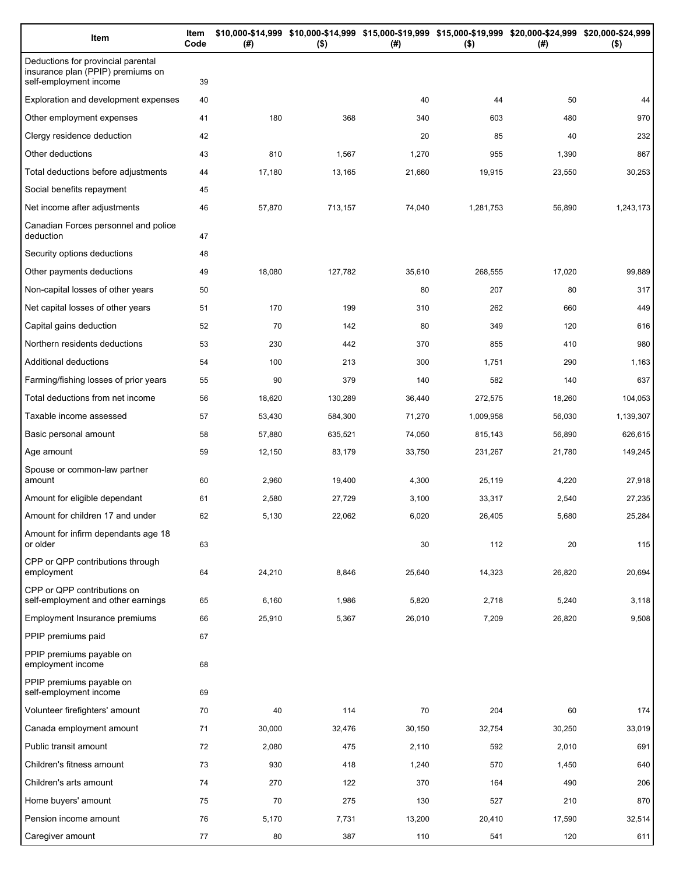| Item                                                                                              | Item<br>Code | (#)    | \$10,000-\$14,999 \$10,000-\$14,999 \$15,000-\$19,999 \$15,000-\$19,999 \$20,000-\$24,999 \$20,000-\$24,999<br>$($ \$) | (#)    | $($ \$)   | (#)    | $($ \$)   |
|---------------------------------------------------------------------------------------------------|--------------|--------|------------------------------------------------------------------------------------------------------------------------|--------|-----------|--------|-----------|
| Deductions for provincial parental<br>insurance plan (PPIP) premiums on<br>self-employment income | 39           |        |                                                                                                                        |        |           |        |           |
| Exploration and development expenses                                                              | 40           |        |                                                                                                                        | 40     | 44        | 50     | 44        |
| Other employment expenses                                                                         | 41           | 180    | 368                                                                                                                    | 340    | 603       | 480    | 970       |
| Clergy residence deduction                                                                        | 42           |        |                                                                                                                        | 20     | 85        | 40     | 232       |
| Other deductions                                                                                  | 43           | 810    | 1,567                                                                                                                  | 1,270  | 955       | 1,390  | 867       |
| Total deductions before adjustments                                                               | 44           | 17,180 | 13,165                                                                                                                 | 21,660 | 19,915    | 23,550 | 30,253    |
| Social benefits repayment                                                                         | 45           |        |                                                                                                                        |        |           |        |           |
| Net income after adjustments                                                                      | 46           | 57,870 | 713,157                                                                                                                | 74,040 | 1,281,753 | 56,890 | 1,243,173 |
| Canadian Forces personnel and police<br>deduction                                                 | 47           |        |                                                                                                                        |        |           |        |           |
| Security options deductions                                                                       | 48           |        |                                                                                                                        |        |           |        |           |
| Other payments deductions                                                                         | 49           | 18,080 | 127,782                                                                                                                | 35,610 | 268,555   | 17,020 | 99,889    |
| Non-capital losses of other years                                                                 | 50           |        |                                                                                                                        | 80     | 207       | 80     | 317       |
| Net capital losses of other years                                                                 | 51           | 170    | 199                                                                                                                    | 310    | 262       | 660    | 449       |
| Capital gains deduction                                                                           | 52           | 70     | 142                                                                                                                    | 80     | 349       | 120    | 616       |
| Northern residents deductions                                                                     | 53           | 230    | 442                                                                                                                    | 370    | 855       | 410    | 980       |
| Additional deductions                                                                             | 54           | 100    | 213                                                                                                                    | 300    | 1,751     | 290    | 1,163     |
| Farming/fishing losses of prior years                                                             | 55           | 90     | 379                                                                                                                    | 140    | 582       | 140    | 637       |
| Total deductions from net income                                                                  | 56           | 18,620 | 130,289                                                                                                                | 36,440 | 272,575   | 18,260 | 104,053   |
| Taxable income assessed                                                                           | 57           | 53,430 | 584,300                                                                                                                | 71,270 | 1,009,958 | 56,030 | 1,139,307 |
| Basic personal amount                                                                             | 58           | 57,880 | 635,521                                                                                                                | 74,050 | 815,143   | 56,890 | 626,615   |
| Age amount                                                                                        | 59           | 12,150 | 83,179                                                                                                                 | 33,750 | 231,267   | 21,780 | 149,245   |
| Spouse or common-law partner<br>amount                                                            | 60           | 2,960  | 19,400                                                                                                                 | 4,300  | 25,119    | 4,220  | 27,918    |
| Amount for eligible dependant                                                                     | 61           | 2,580  | 27,729                                                                                                                 | 3,100  | 33,317    | 2,540  | 27,235    |
| Amount for children 17 and under                                                                  | 62           | 5,130  | 22,062                                                                                                                 | 6,020  | 26,405    | 5,680  | 25,284    |
| Amount for infirm dependants age 18<br>or older                                                   | 63           |        |                                                                                                                        | 30     | 112       | 20     | 115       |
| CPP or QPP contributions through<br>employment                                                    | 64           | 24,210 | 8,846                                                                                                                  | 25,640 | 14,323    | 26,820 | 20,694    |
| CPP or QPP contributions on<br>self-employment and other earnings                                 | 65           | 6,160  | 1,986                                                                                                                  | 5,820  | 2,718     | 5,240  | 3,118     |
| Employment Insurance premiums                                                                     | 66           | 25,910 | 5,367                                                                                                                  | 26,010 | 7,209     | 26,820 | 9,508     |
| PPIP premiums paid                                                                                | 67           |        |                                                                                                                        |        |           |        |           |
| PPIP premiums payable on<br>employment income                                                     | 68           |        |                                                                                                                        |        |           |        |           |
| PPIP premiums payable on<br>self-employment income                                                | 69           |        |                                                                                                                        |        |           |        |           |
| Volunteer firefighters' amount                                                                    | 70           | 40     | 114                                                                                                                    | 70     | 204       | 60     | 174       |
| Canada employment amount                                                                          | 71           | 30,000 | 32,476                                                                                                                 | 30,150 | 32,754    | 30,250 | 33,019    |
| Public transit amount                                                                             | 72           | 2,080  | 475                                                                                                                    | 2,110  | 592       | 2,010  | 691       |
| Children's fitness amount                                                                         | 73           | 930    | 418                                                                                                                    | 1,240  | 570       | 1,450  | 640       |
| Children's arts amount                                                                            | 74           | 270    | 122                                                                                                                    | 370    | 164       | 490    | 206       |
| Home buyers' amount                                                                               | 75           | 70     | 275                                                                                                                    | 130    | 527       | 210    | 870       |
| Pension income amount                                                                             | 76           | 5,170  | 7,731                                                                                                                  | 13,200 | 20,410    | 17,590 | 32,514    |
| Caregiver amount                                                                                  | 77           | 80     | 387                                                                                                                    | 110    | 541       | 120    | 611       |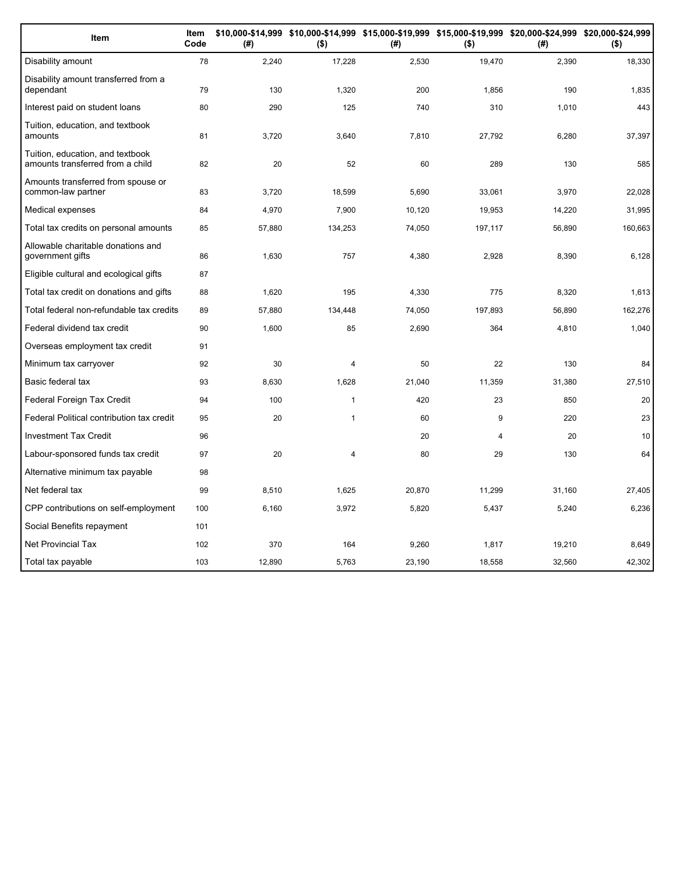| Item                                                                 | Item<br>Code | (#)    | $($ \$)        | (#)    | $($ \$) | \$10,000-\$14,999 \$10,000-\$14,999 \$15,000-\$19,999 \$15,000-\$19,999 \$20,000-\$24,999 \$20,000-\$24,999<br>(# ) | $($ \$) |
|----------------------------------------------------------------------|--------------|--------|----------------|--------|---------|---------------------------------------------------------------------------------------------------------------------|---------|
| Disability amount                                                    | 78           | 2,240  | 17,228         | 2,530  | 19,470  | 2,390                                                                                                               | 18,330  |
| Disability amount transferred from a<br>dependant                    | 79           | 130    | 1,320          | 200    | 1,856   | 190                                                                                                                 | 1,835   |
| Interest paid on student loans                                       | 80           | 290    | 125            | 740    | 310     | 1,010                                                                                                               | 443     |
| Tuition, education, and textbook<br>amounts                          | 81           | 3,720  | 3,640          | 7,810  | 27,792  | 6,280                                                                                                               | 37,397  |
| Tuition, education, and textbook<br>amounts transferred from a child | 82           | 20     | 52             | 60     | 289     | 130                                                                                                                 | 585     |
| Amounts transferred from spouse or<br>common-law partner             | 83           | 3,720  | 18,599         | 5,690  | 33,061  | 3,970                                                                                                               | 22,028  |
| Medical expenses                                                     | 84           | 4,970  | 7,900          | 10,120 | 19,953  | 14,220                                                                                                              | 31,995  |
| Total tax credits on personal amounts                                | 85           | 57,880 | 134,253        | 74,050 | 197,117 | 56,890                                                                                                              | 160,663 |
| Allowable charitable donations and<br>government gifts               | 86           | 1,630  | 757            | 4,380  | 2,928   | 8,390                                                                                                               | 6,128   |
| Eligible cultural and ecological gifts                               | 87           |        |                |        |         |                                                                                                                     |         |
| Total tax credit on donations and gifts                              | 88           | 1,620  | 195            | 4,330  | 775     | 8,320                                                                                                               | 1,613   |
| Total federal non-refundable tax credits                             | 89           | 57,880 | 134,448        | 74,050 | 197,893 | 56,890                                                                                                              | 162,276 |
| Federal dividend tax credit                                          | 90           | 1,600  | 85             | 2,690  | 364     | 4,810                                                                                                               | 1,040   |
| Overseas employment tax credit                                       | 91           |        |                |        |         |                                                                                                                     |         |
| Minimum tax carryover                                                | 92           | 30     | 4              | 50     | 22      | 130                                                                                                                 | 84      |
| Basic federal tax                                                    | 93           | 8,630  | 1,628          | 21,040 | 11,359  | 31,380                                                                                                              | 27,510  |
| Federal Foreign Tax Credit                                           | 94           | 100    | $\mathbf{1}$   | 420    | 23      | 850                                                                                                                 | 20      |
| Federal Political contribution tax credit                            | 95           | 20     | $\mathbf{1}$   | 60     | 9       | 220                                                                                                                 | 23      |
| <b>Investment Tax Credit</b>                                         | 96           |        |                | 20     | 4       | 20                                                                                                                  | 10      |
| Labour-sponsored funds tax credit                                    | 97           | 20     | $\overline{4}$ | 80     | 29      | 130                                                                                                                 | 64      |
| Alternative minimum tax payable                                      | 98           |        |                |        |         |                                                                                                                     |         |
| Net federal tax                                                      | 99           | 8,510  | 1,625          | 20,870 | 11,299  | 31,160                                                                                                              | 27,405  |
| CPP contributions on self-employment                                 | 100          | 6,160  | 3,972          | 5,820  | 5,437   | 5,240                                                                                                               | 6,236   |
| Social Benefits repayment                                            | 101          |        |                |        |         |                                                                                                                     |         |
| <b>Net Provincial Tax</b>                                            | 102          | 370    | 164            | 9,260  | 1,817   | 19,210                                                                                                              | 8,649   |
| Total tax payable                                                    | 103          | 12,890 | 5,763          | 23,190 | 18.558  | 32.560                                                                                                              | 42,302  |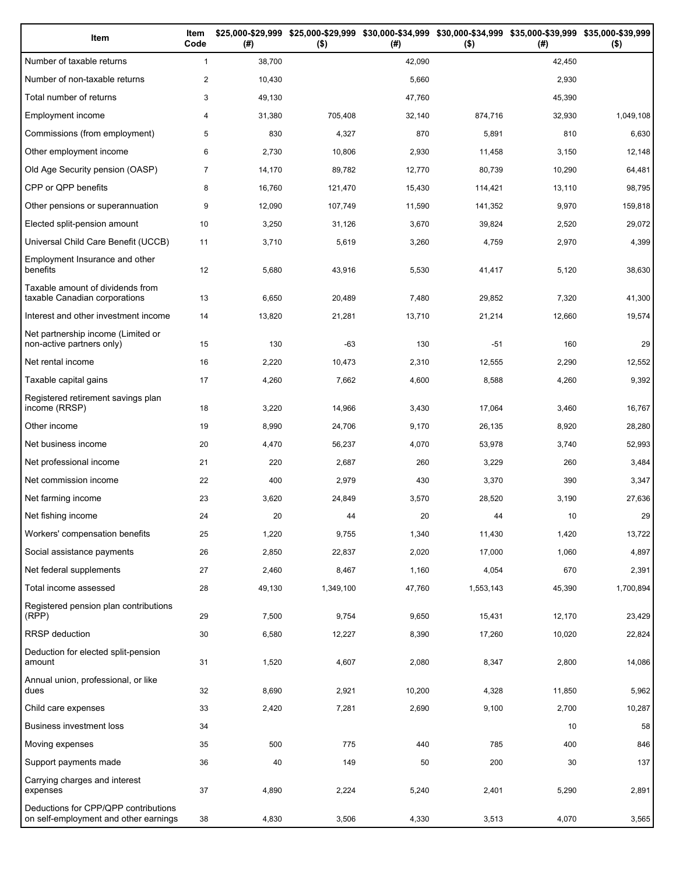| Item                                                                          | Item<br>Code   | (#)    | \$25,000-\$29,999 \$25,000-\$29,999 \$30,000-\$34,999 \$30,000-\$34,999 \$35,000-\$39,999 \$35,000-\$39,999<br>$($ \$) | (#)    | $($ \$)   | (#)    | $($ \$)   |
|-------------------------------------------------------------------------------|----------------|--------|------------------------------------------------------------------------------------------------------------------------|--------|-----------|--------|-----------|
| Number of taxable returns                                                     | $\mathbf{1}$   | 38,700 |                                                                                                                        | 42,090 |           | 42,450 |           |
| Number of non-taxable returns                                                 | $\overline{c}$ | 10,430 |                                                                                                                        | 5,660  |           | 2,930  |           |
| Total number of returns                                                       | 3              | 49,130 |                                                                                                                        | 47,760 |           | 45,390 |           |
| Employment income                                                             | 4              | 31,380 | 705,408                                                                                                                | 32,140 | 874,716   | 32,930 | 1,049,108 |
| Commissions (from employment)                                                 | 5              | 830    | 4,327                                                                                                                  | 870    | 5,891     | 810    | 6,630     |
| Other employment income                                                       | 6              | 2,730  | 10,806                                                                                                                 | 2,930  | 11,458    | 3,150  | 12,148    |
| Old Age Security pension (OASP)                                               | $\overline{7}$ | 14,170 | 89,782                                                                                                                 | 12,770 | 80,739    | 10,290 | 64,481    |
| CPP or QPP benefits                                                           | 8              | 16,760 | 121,470                                                                                                                | 15,430 | 114,421   | 13,110 | 98,795    |
| Other pensions or superannuation                                              | 9              | 12,090 | 107,749                                                                                                                | 11,590 | 141,352   | 9,970  | 159,818   |
| Elected split-pension amount                                                  | 10             | 3,250  | 31,126                                                                                                                 | 3,670  | 39,824    | 2,520  | 29,072    |
| Universal Child Care Benefit (UCCB)                                           | 11             | 3,710  | 5,619                                                                                                                  | 3,260  | 4,759     | 2,970  | 4,399     |
| Employment Insurance and other<br>benefits                                    | 12             | 5,680  | 43,916                                                                                                                 | 5,530  | 41,417    | 5,120  | 38,630    |
| Taxable amount of dividends from<br>taxable Canadian corporations             | 13             | 6,650  | 20,489                                                                                                                 | 7,480  | 29,852    | 7,320  | 41,300    |
| Interest and other investment income                                          | 14             | 13,820 | 21,281                                                                                                                 | 13,710 | 21,214    | 12,660 | 19,574    |
| Net partnership income (Limited or<br>non-active partners only)               | 15             | 130    | -63                                                                                                                    | 130    | $-51$     | 160    | 29        |
| Net rental income                                                             | 16             | 2,220  | 10,473                                                                                                                 | 2,310  | 12,555    | 2,290  | 12,552    |
| Taxable capital gains                                                         | 17             | 4,260  | 7,662                                                                                                                  | 4,600  | 8,588     | 4,260  | 9,392     |
| Registered retirement savings plan<br>income (RRSP)                           | 18             | 3,220  | 14,966                                                                                                                 | 3,430  | 17,064    | 3,460  | 16,767    |
| Other income                                                                  | 19             | 8,990  | 24,706                                                                                                                 | 9,170  | 26,135    | 8,920  | 28,280    |
| Net business income                                                           | 20             | 4,470  | 56,237                                                                                                                 | 4,070  | 53,978    | 3,740  | 52,993    |
| Net professional income                                                       | 21             | 220    | 2,687                                                                                                                  | 260    | 3,229     | 260    | 3,484     |
| Net commission income                                                         | 22             | 400    | 2,979                                                                                                                  | 430    | 3,370     | 390    | 3,347     |
| Net farming income                                                            | 23             | 3,620  | 24,849                                                                                                                 | 3,570  | 28,520    | 3,190  | 27,636    |
| Net fishing income                                                            | 24             | 20     | 44                                                                                                                     | 20     | 44        | 10     | 29        |
| Workers' compensation benefits                                                | 25             | 1,220  | 9,755                                                                                                                  | 1,340  | 11,430    | 1,420  | 13,722    |
| Social assistance payments                                                    | 26             | 2,850  | 22,837                                                                                                                 | 2,020  | 17,000    | 1,060  | 4,897     |
| Net federal supplements                                                       | 27             | 2,460  | 8,467                                                                                                                  | 1,160  | 4,054     | 670    | 2,391     |
| Total income assessed                                                         | 28             | 49,130 | 1,349,100                                                                                                              | 47,760 | 1,553,143 | 45,390 | 1,700,894 |
| Registered pension plan contributions<br>(RPP)                                | 29             | 7,500  | 9,754                                                                                                                  | 9,650  | 15,431    | 12,170 | 23,429    |
| RRSP deduction                                                                | 30             | 6,580  | 12,227                                                                                                                 | 8,390  | 17,260    | 10,020 | 22,824    |
| Deduction for elected split-pension<br>amount                                 | 31             | 1,520  | 4,607                                                                                                                  | 2,080  | 8,347     | 2,800  | 14,086    |
| Annual union, professional, or like<br>dues                                   | 32             | 8,690  | 2,921                                                                                                                  | 10,200 | 4,328     | 11,850 | 5,962     |
| Child care expenses                                                           | 33             | 2,420  | 7,281                                                                                                                  | 2,690  | 9,100     | 2,700  | 10,287    |
| Business investment loss                                                      | 34             |        |                                                                                                                        |        |           | 10     | 58        |
| Moving expenses                                                               | 35             | 500    | 775                                                                                                                    | 440    | 785       | 400    | 846       |
| Support payments made                                                         | 36             | 40     | 149                                                                                                                    | 50     | 200       | 30     | 137       |
| Carrying charges and interest<br>expenses                                     | 37             | 4,890  | 2,224                                                                                                                  | 5,240  | 2,401     | 5,290  | 2,891     |
| Deductions for CPP/QPP contributions<br>on self-employment and other earnings | 38             | 4,830  | 3,506                                                                                                                  | 4,330  | 3,513     | 4,070  | 3,565     |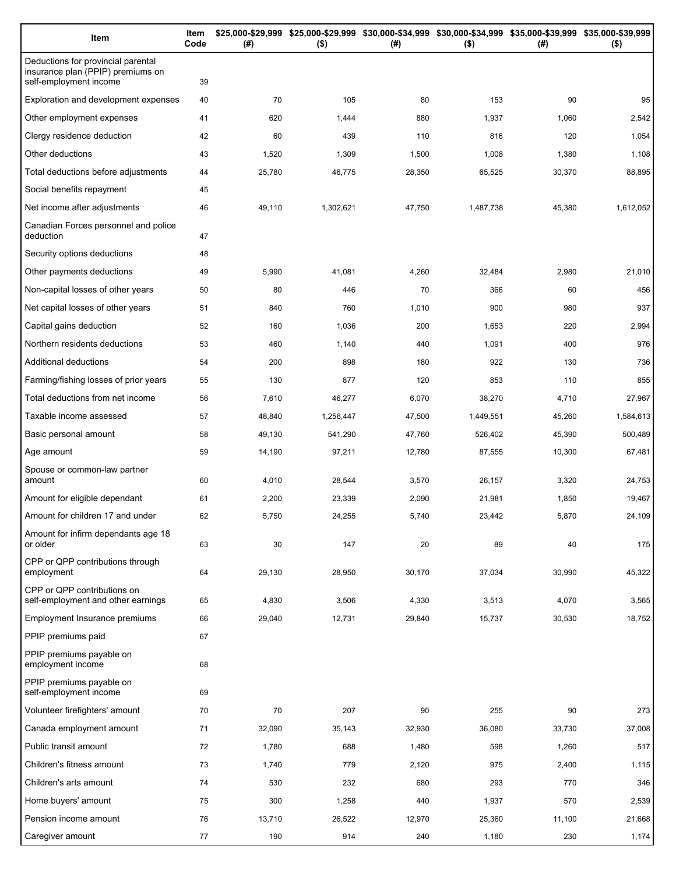| Item                                                                                              | Item<br>Code | (#)    | $($ \$)   | \$25,000-\$29,999 \$25,000-\$29,999 \$30,000-\$34,999 \$30,000-\$34,999 \$35,000-\$39,999 \$35,000-\$39,999<br>(#) | $($ \$)   | (#)    | $($ \$)   |
|---------------------------------------------------------------------------------------------------|--------------|--------|-----------|--------------------------------------------------------------------------------------------------------------------|-----------|--------|-----------|
| Deductions for provincial parental<br>insurance plan (PPIP) premiums on<br>self-employment income | 39           |        |           |                                                                                                                    |           |        |           |
| Exploration and development expenses                                                              | 40           | 70     | 105       | 80                                                                                                                 | 153       | 90     | 95        |
| Other employment expenses                                                                         | 41           | 620    | 1,444     | 880                                                                                                                | 1,937     | 1,060  | 2,542     |
| Clergy residence deduction                                                                        | 42           | 60     | 439       | 110                                                                                                                | 816       | 120    | 1,054     |
| Other deductions                                                                                  | 43           | 1,520  | 1,309     | 1,500                                                                                                              | 1,008     | 1,380  | 1,108     |
| Total deductions before adjustments                                                               | 44           | 25,780 | 46,775    | 28,350                                                                                                             | 65,525    | 30,370 | 88,895    |
| Social benefits repayment                                                                         | 45           |        |           |                                                                                                                    |           |        |           |
| Net income after adjustments                                                                      | 46           | 49,110 | 1,302,621 | 47,750                                                                                                             | 1,487,738 | 45,380 | 1,612,052 |
| Canadian Forces personnel and police<br>deduction                                                 | 47           |        |           |                                                                                                                    |           |        |           |
| Security options deductions                                                                       | 48           |        |           |                                                                                                                    |           |        |           |
| Other payments deductions                                                                         | 49           | 5,990  | 41,081    | 4,260                                                                                                              | 32,484    | 2,980  | 21,010    |
| Non-capital losses of other years                                                                 | 50           | 80     | 446       | 70                                                                                                                 | 366       | 60     | 456       |
| Net capital losses of other years                                                                 | 51           | 840    | 760       | 1,010                                                                                                              | 900       | 980    | 937       |
| Capital gains deduction                                                                           | 52           | 160    | 1,036     | 200                                                                                                                | 1,653     | 220    | 2,994     |
| Northern residents deductions                                                                     | 53           | 460    | 1,140     | 440                                                                                                                | 1,091     | 400    | 976       |
| Additional deductions                                                                             | 54           | 200    | 898       | 180                                                                                                                | 922       | 130    | 736       |
| Farming/fishing losses of prior years                                                             | 55           | 130    | 877       | 120                                                                                                                | 853       | 110    | 855       |
| Total deductions from net income                                                                  | 56           | 7,610  | 46,277    | 6,070                                                                                                              | 38,270    | 4,710  | 27,967    |
| Taxable income assessed                                                                           | 57           | 48,840 | 1,256,447 | 47,500                                                                                                             | 1,449,551 | 45,260 | 1,584,613 |
| Basic personal amount                                                                             | 58           | 49,130 | 541,290   | 47,760                                                                                                             | 526,402   | 45,390 | 500,489   |
| Age amount                                                                                        | 59           | 14,190 | 97,211    | 12,780                                                                                                             | 87,555    | 10,300 | 67,481    |
| Spouse or common-law partner<br>amount                                                            | 60           | 4,010  | 28,544    | 3,570                                                                                                              | 26,157    | 3,320  | 24,753    |
| Amount for eligible dependant                                                                     | 61           | 2,200  | 23,339    | 2,090                                                                                                              | 21,981    | 1,850  | 19,467    |
| Amount for children 17 and under                                                                  | 62           | 5,750  | 24,255    | 5,740                                                                                                              | 23,442    | 5,870  | 24,109    |
| Amount for infirm dependants age 18<br>or older                                                   | 63           | 30     | 147       | 20                                                                                                                 | 89        | 40     | 175       |
| CPP or QPP contributions through<br>employment                                                    | 64           | 29,130 | 28,950    | 30,170                                                                                                             | 37,034    | 30,990 | 45,322    |
| CPP or QPP contributions on<br>self-employment and other earnings                                 | 65           | 4,830  | 3,506     | 4,330                                                                                                              | 3,513     | 4,070  | 3,565     |
| Employment Insurance premiums                                                                     | 66           | 29,040 | 12,731    | 29,840                                                                                                             | 15,737    | 30,530 | 18,752    |
| PPIP premiums paid                                                                                | 67           |        |           |                                                                                                                    |           |        |           |
| PPIP premiums payable on<br>employment income                                                     | 68           |        |           |                                                                                                                    |           |        |           |
| PPIP premiums payable on<br>self-employment income                                                | 69           |        |           |                                                                                                                    |           |        |           |
| Volunteer firefighters' amount                                                                    | 70           | 70     | 207       | 90                                                                                                                 | 255       | 90     | 273       |
| Canada employment amount                                                                          | 71           | 32,090 | 35,143    | 32,930                                                                                                             | 36,080    | 33,730 | 37,008    |
| Public transit amount                                                                             | 72           | 1,780  | 688       | 1,480                                                                                                              | 598       | 1,260  | 517       |
| Children's fitness amount                                                                         | 73           | 1,740  | 779       | 2,120                                                                                                              | 975       | 2,400  | 1,115     |
| Children's arts amount                                                                            | 74           | 530    | 232       | 680                                                                                                                | 293       | 770    | 346       |
| Home buyers' amount                                                                               | 75           | 300    | 1,258     | 440                                                                                                                | 1,937     | 570    | 2,539     |
| Pension income amount                                                                             | 76           | 13,710 | 26,522    | 12,970                                                                                                             | 25,360    | 11,100 | 21,668    |
| Caregiver amount                                                                                  | 77           | 190    | 914       | 240                                                                                                                | 1,180     | 230    | 1,174     |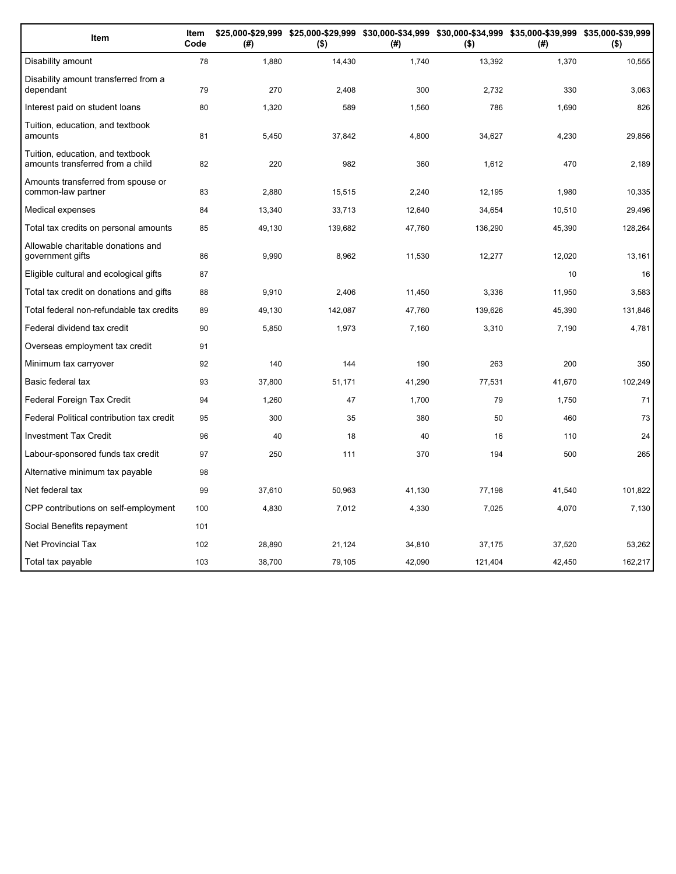| Item                                                                 | Item<br>Code | (#)    | $($ \$) | (#)    | $($ \$) | \$25,000-\$29,999 \$25,000-\$29,999 \$30,000-\$34,999 \$30,000-\$34,999 \$35,000-\$39,999 \$35,000-\$39,999<br>(#) | $($ \$) |
|----------------------------------------------------------------------|--------------|--------|---------|--------|---------|--------------------------------------------------------------------------------------------------------------------|---------|
| Disability amount                                                    | 78           | 1,880  | 14,430  | 1,740  | 13,392  | 1,370                                                                                                              | 10,555  |
| Disability amount transferred from a<br>dependant                    | 79           | 270    | 2,408   | 300    | 2,732   | 330                                                                                                                | 3,063   |
| Interest paid on student loans                                       | 80           | 1,320  | 589     | 1,560  | 786     | 1,690                                                                                                              | 826     |
| Tuition, education, and textbook<br>amounts                          | 81           | 5,450  | 37,842  | 4,800  | 34,627  | 4,230                                                                                                              | 29,856  |
| Tuition, education, and textbook<br>amounts transferred from a child | 82           | 220    | 982     | 360    | 1,612   | 470                                                                                                                | 2,189   |
| Amounts transferred from spouse or<br>common-law partner             | 83           | 2,880  | 15,515  | 2,240  | 12,195  | 1,980                                                                                                              | 10,335  |
| Medical expenses                                                     | 84           | 13,340 | 33,713  | 12,640 | 34,654  | 10,510                                                                                                             | 29,496  |
| Total tax credits on personal amounts                                | 85           | 49,130 | 139,682 | 47,760 | 136,290 | 45,390                                                                                                             | 128,264 |
| Allowable charitable donations and<br>government gifts               | 86           | 9,990  | 8,962   | 11,530 | 12,277  | 12,020                                                                                                             | 13,161  |
| Eligible cultural and ecological gifts                               | 87           |        |         |        |         | 10                                                                                                                 | 16      |
| Total tax credit on donations and gifts                              | 88           | 9,910  | 2,406   | 11,450 | 3,336   | 11,950                                                                                                             | 3,583   |
| Total federal non-refundable tax credits                             | 89           | 49,130 | 142,087 | 47,760 | 139,626 | 45,390                                                                                                             | 131,846 |
| Federal dividend tax credit                                          | 90           | 5,850  | 1,973   | 7,160  | 3,310   | 7,190                                                                                                              | 4,781   |
| Overseas employment tax credit                                       | 91           |        |         |        |         |                                                                                                                    |         |
| Minimum tax carryover                                                | 92           | 140    | 144     | 190    | 263     | 200                                                                                                                | 350     |
| Basic federal tax                                                    | 93           | 37,800 | 51,171  | 41,290 | 77,531  | 41,670                                                                                                             | 102,249 |
| Federal Foreign Tax Credit                                           | 94           | 1,260  | 47      | 1,700  | 79      | 1,750                                                                                                              | 71      |
| Federal Political contribution tax credit                            | 95           | 300    | 35      | 380    | 50      | 460                                                                                                                | 73      |
| <b>Investment Tax Credit</b>                                         | 96           | 40     | 18      | 40     | 16      | 110                                                                                                                | 24      |
| Labour-sponsored funds tax credit                                    | 97           | 250    | 111     | 370    | 194     | 500                                                                                                                | 265     |
| Alternative minimum tax payable                                      | 98           |        |         |        |         |                                                                                                                    |         |
| Net federal tax                                                      | 99           | 37,610 | 50,963  | 41,130 | 77,198  | 41,540                                                                                                             | 101,822 |
| CPP contributions on self-employment                                 | 100          | 4,830  | 7,012   | 4,330  | 7,025   | 4,070                                                                                                              | 7,130   |
| Social Benefits repayment                                            | 101          |        |         |        |         |                                                                                                                    |         |
| <b>Net Provincial Tax</b>                                            | 102          | 28,890 | 21.124  | 34,810 | 37,175  | 37,520                                                                                                             | 53,262  |
| Total tax payable                                                    | 103          | 38.700 | 79.105  | 42,090 | 121,404 | 42.450                                                                                                             | 162,217 |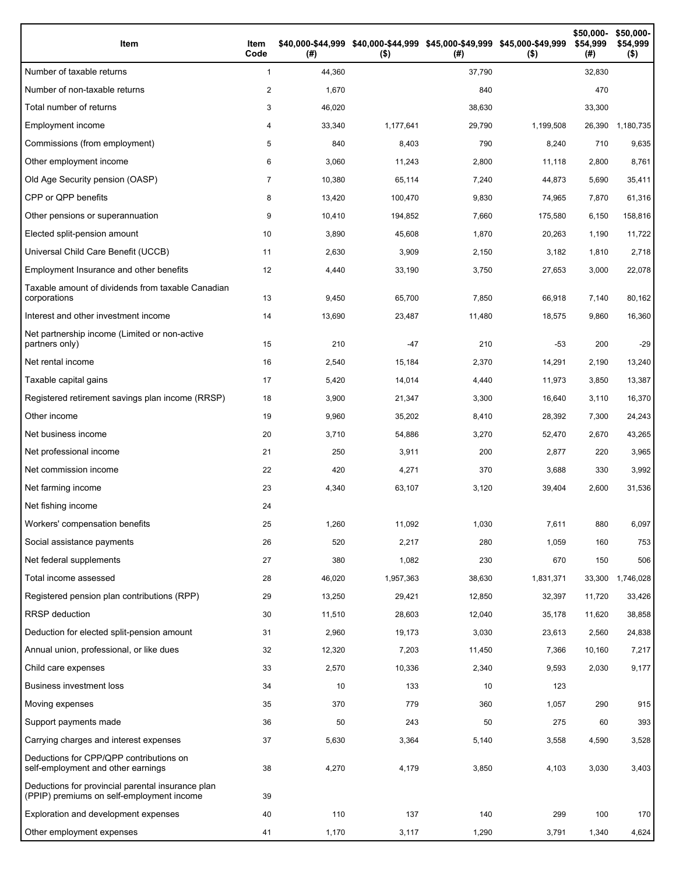| Item                                                                                           | Item<br>Code   | (#)    | \$40,000-\$44,999 \$40,000-\$44,999 \$45,000-\$49,999 \$45,000-\$49,999<br>$($ \$) | (#)    | $($ \$)   | \$50,000-<br>\$54,999<br>(#) | \$50,000-<br>\$54,999<br>$($ \$) |
|------------------------------------------------------------------------------------------------|----------------|--------|------------------------------------------------------------------------------------|--------|-----------|------------------------------|----------------------------------|
| Number of taxable returns                                                                      | $\mathbf{1}$   | 44,360 |                                                                                    | 37,790 |           | 32,830                       |                                  |
| Number of non-taxable returns                                                                  | 2              | 1,670  |                                                                                    | 840    |           | 470                          |                                  |
| Total number of returns                                                                        | 3              | 46,020 |                                                                                    | 38,630 |           | 33,300                       |                                  |
| Employment income                                                                              | 4              | 33,340 | 1,177,641                                                                          | 29,790 | 1,199,508 | 26,390                       | 1,180,735                        |
| Commissions (from employment)                                                                  | 5              | 840    | 8,403                                                                              | 790    | 8,240     | 710                          | 9,635                            |
| Other employment income                                                                        | 6              | 3,060  | 11,243                                                                             | 2,800  | 11,118    | 2,800                        | 8,761                            |
| Old Age Security pension (OASP)                                                                | $\overline{7}$ | 10,380 | 65,114                                                                             | 7,240  | 44,873    | 5,690                        | 35,411                           |
| CPP or QPP benefits                                                                            | 8              | 13,420 | 100,470                                                                            | 9,830  | 74,965    | 7,870                        | 61,316                           |
| Other pensions or superannuation                                                               | 9              | 10,410 | 194,852                                                                            | 7,660  | 175,580   | 6,150                        | 158,816                          |
| Elected split-pension amount                                                                   | 10             | 3,890  | 45,608                                                                             | 1,870  | 20,263    | 1,190                        | 11,722                           |
| Universal Child Care Benefit (UCCB)                                                            | 11             | 2,630  | 3,909                                                                              | 2,150  | 3,182     | 1,810                        | 2,718                            |
| Employment Insurance and other benefits                                                        | 12             | 4,440  | 33,190                                                                             | 3,750  | 27,653    | 3,000                        | 22,078                           |
| Taxable amount of dividends from taxable Canadian<br>corporations                              | 13             | 9,450  | 65,700                                                                             | 7,850  | 66,918    | 7,140                        | 80,162                           |
| Interest and other investment income                                                           | 14             | 13,690 | 23,487                                                                             | 11,480 | 18,575    | 9,860                        | 16,360                           |
| Net partnership income (Limited or non-active<br>partners only)                                | 15             | 210    | $-47$                                                                              | 210    | $-53$     | 200                          | $-29$                            |
| Net rental income                                                                              | 16             | 2,540  | 15,184                                                                             | 2,370  | 14,291    | 2,190                        | 13,240                           |
| Taxable capital gains                                                                          | 17             | 5,420  | 14,014                                                                             | 4,440  | 11,973    | 3,850                        | 13,387                           |
| Registered retirement savings plan income (RRSP)                                               | 18             | 3,900  | 21,347                                                                             | 3,300  | 16,640    | 3,110                        | 16,370                           |
| Other income                                                                                   | 19             | 9,960  | 35,202                                                                             | 8,410  | 28,392    | 7,300                        | 24,243                           |
| Net business income                                                                            | 20             | 3,710  | 54,886                                                                             | 3,270  | 52,470    | 2,670                        | 43,265                           |
| Net professional income                                                                        | 21             | 250    | 3,911                                                                              | 200    | 2,877     | 220                          | 3,965                            |
| Net commission income                                                                          | 22             | 420    | 4,271                                                                              | 370    | 3,688     | 330                          | 3,992                            |
| Net farming income                                                                             | 23             | 4,340  | 63,107                                                                             | 3,120  | 39,404    | 2,600                        | 31,536                           |
| Net fishing income                                                                             | 24             |        |                                                                                    |        |           |                              |                                  |
| Workers' compensation benefits                                                                 | 25             | 1,260  | 11,092                                                                             | 1,030  | 7,611     | 880                          | 6,097                            |
| Social assistance payments                                                                     | 26             | 520    | 2,217                                                                              | 280    | 1,059     | 160                          | 753                              |
| Net federal supplements                                                                        | 27             | 380    | 1,082                                                                              | 230    | 670       | 150                          | 506                              |
| Total income assessed                                                                          | 28             | 46,020 | 1,957,363                                                                          | 38,630 | 1,831,371 | 33,300                       | 1,746,028                        |
| Registered pension plan contributions (RPP)                                                    | 29             | 13,250 | 29,421                                                                             | 12,850 | 32,397    | 11,720                       | 33,426                           |
| RRSP deduction                                                                                 | 30             | 11,510 | 28,603                                                                             | 12,040 | 35,178    | 11,620                       | 38,858                           |
| Deduction for elected split-pension amount                                                     | 31             | 2,960  | 19,173                                                                             | 3,030  | 23,613    | 2,560                        | 24,838                           |
| Annual union, professional, or like dues                                                       | 32             | 12,320 | 7,203                                                                              | 11,450 | 7,366     | 10,160                       | 7,217                            |
| Child care expenses                                                                            | 33             | 2,570  | 10,336                                                                             | 2,340  | 9,593     | 2,030                        | 9,177                            |
| <b>Business investment loss</b>                                                                | 34             | 10     | 133                                                                                | 10     | 123       |                              |                                  |
| Moving expenses                                                                                | 35             | 370    | 779                                                                                | 360    | 1,057     | 290                          | 915                              |
| Support payments made                                                                          | 36             | 50     | 243                                                                                | 50     | 275       | 60                           | 393                              |
| Carrying charges and interest expenses                                                         | 37             | 5,630  | 3,364                                                                              | 5,140  | 3,558     | 4,590                        | 3,528                            |
| Deductions for CPP/QPP contributions on<br>self-employment and other earnings                  | 38             | 4,270  | 4,179                                                                              | 3,850  | 4,103     | 3,030                        | 3,403                            |
| Deductions for provincial parental insurance plan<br>(PPIP) premiums on self-employment income | 39             |        |                                                                                    |        |           |                              |                                  |
| Exploration and development expenses                                                           | 40             | 110    | 137                                                                                | 140    | 299       | 100                          | 170                              |
| Other employment expenses                                                                      | 41             | 1,170  | 3,117                                                                              | 1,290  | 3,791     | 1,340                        | 4,624                            |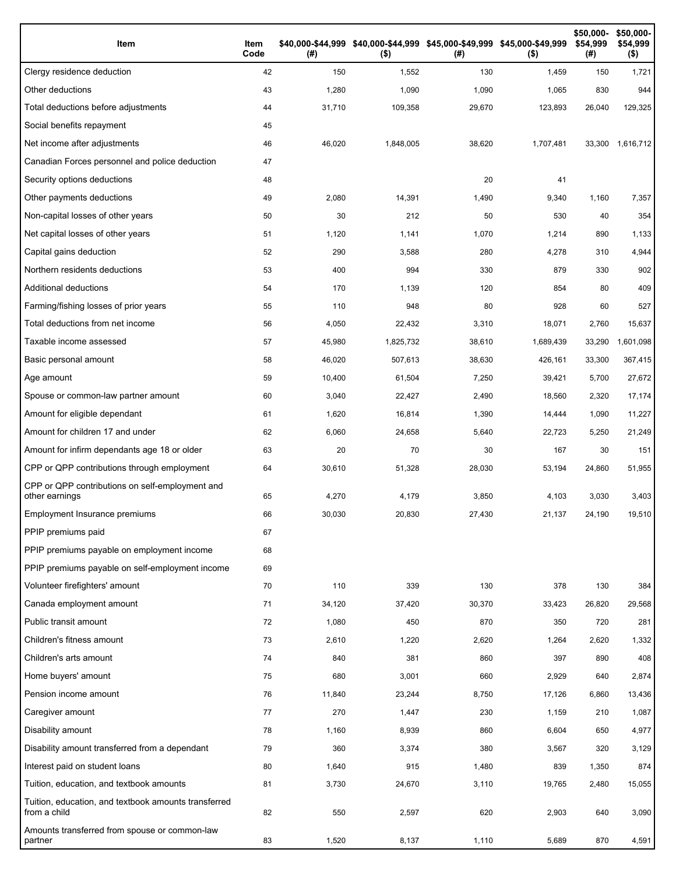| Item                                                                 | Item<br>Code | (# )   | \$40,000-\$44,999 \$40,000-\$44,999 \$45,000-\$49,999 \$45,000-\$49,999<br>$($ \$) | (# )   | $($ \$)   | \$50,000-<br>\$54,999<br>(#) | \$50,000-<br>\$54,999<br>$($ \$) |
|----------------------------------------------------------------------|--------------|--------|------------------------------------------------------------------------------------|--------|-----------|------------------------------|----------------------------------|
| Clergy residence deduction                                           | 42           | 150    | 1,552                                                                              | 130    | 1,459     | 150                          | 1,721                            |
| Other deductions                                                     | 43           | 1,280  | 1,090                                                                              | 1,090  | 1,065     | 830                          | 944                              |
| Total deductions before adjustments                                  | 44           | 31,710 | 109,358                                                                            | 29,670 | 123,893   | 26,040                       | 129,325                          |
| Social benefits repayment                                            | 45           |        |                                                                                    |        |           |                              |                                  |
| Net income after adjustments                                         | 46           | 46,020 | 1,848,005                                                                          | 38,620 | 1,707,481 | 33,300                       | 1,616,712                        |
| Canadian Forces personnel and police deduction                       | 47           |        |                                                                                    |        |           |                              |                                  |
| Security options deductions                                          | 48           |        |                                                                                    | 20     | 41        |                              |                                  |
| Other payments deductions                                            | 49           | 2,080  | 14,391                                                                             | 1,490  | 9,340     | 1,160                        | 7,357                            |
| Non-capital losses of other years                                    | 50           | 30     | 212                                                                                | 50     | 530       | 40                           | 354                              |
| Net capital losses of other years                                    | 51           | 1,120  | 1,141                                                                              | 1,070  | 1,214     | 890                          | 1,133                            |
| Capital gains deduction                                              | 52           | 290    | 3,588                                                                              | 280    | 4,278     | 310                          | 4,944                            |
| Northern residents deductions                                        | 53           | 400    | 994                                                                                | 330    | 879       | 330                          | 902                              |
| Additional deductions                                                | 54           | 170    | 1,139                                                                              | 120    | 854       | 80                           | 409                              |
| Farming/fishing losses of prior years                                | 55           | 110    | 948                                                                                | 80     | 928       | 60                           | 527                              |
| Total deductions from net income                                     | 56           | 4,050  | 22,432                                                                             | 3,310  | 18,071    | 2,760                        | 15,637                           |
| Taxable income assessed                                              | 57           | 45,980 | 1,825,732                                                                          | 38,610 | 1,689,439 | 33,290                       | 1,601,098                        |
| Basic personal amount                                                | 58           | 46,020 | 507,613                                                                            | 38,630 | 426,161   | 33,300                       | 367,415                          |
| Age amount                                                           | 59           | 10,400 | 61,504                                                                             | 7,250  | 39,421    | 5,700                        | 27,672                           |
| Spouse or common-law partner amount                                  | 60           | 3,040  | 22,427                                                                             | 2,490  | 18,560    | 2,320                        | 17,174                           |
| Amount for eligible dependant                                        | 61           | 1,620  | 16,814                                                                             | 1,390  | 14,444    | 1,090                        | 11,227                           |
| Amount for children 17 and under                                     | 62           | 6,060  | 24,658                                                                             | 5,640  | 22,723    | 5,250                        | 21,249                           |
| Amount for infirm dependants age 18 or older                         | 63           | 20     | 70                                                                                 | 30     | 167       | 30                           | 151                              |
| CPP or QPP contributions through employment                          | 64           | 30,610 | 51,328                                                                             | 28,030 | 53,194    | 24,860                       | 51,955                           |
| CPP or QPP contributions on self-employment and<br>other earnings    | 65           | 4,270  | 4,179                                                                              | 3,850  | 4,103     | 3,030                        | 3,403                            |
| Employment Insurance premiums                                        | 66           | 30,030 | 20,830                                                                             | 27,430 | 21,137    | 24,190                       | 19,510                           |
| PPIP premiums paid                                                   | 67           |        |                                                                                    |        |           |                              |                                  |
| PPIP premiums payable on employment income                           | 68           |        |                                                                                    |        |           |                              |                                  |
| PPIP premiums payable on self-employment income                      | 69           |        |                                                                                    |        |           |                              |                                  |
| Volunteer firefighters' amount                                       | 70           | 110    | 339                                                                                | 130    | 378       | 130                          | 384                              |
| Canada employment amount                                             | 71           | 34,120 | 37,420                                                                             | 30,370 | 33,423    | 26,820                       | 29,568                           |
| Public transit amount                                                | 72           | 1,080  | 450                                                                                | 870    | 350       | 720                          | 281                              |
| Children's fitness amount                                            | 73           | 2,610  | 1,220                                                                              | 2,620  | 1,264     | 2,620                        | 1,332                            |
| Children's arts amount                                               | 74           | 840    | 381                                                                                | 860    | 397       | 890                          | 408                              |
| Home buyers' amount                                                  | 75           | 680    | 3,001                                                                              | 660    | 2,929     | 640                          | 2,874                            |
| Pension income amount                                                | 76           | 11,840 | 23,244                                                                             | 8,750  | 17,126    | 6,860                        | 13,436                           |
| Caregiver amount                                                     | 77           | 270    | 1,447                                                                              | 230    | 1,159     | 210                          | 1,087                            |
| Disability amount                                                    | 78           | 1,160  | 8,939                                                                              | 860    | 6,604     | 650                          | 4,977                            |
| Disability amount transferred from a dependant                       | 79           | 360    | 3,374                                                                              | 380    | 3,567     | 320                          | 3,129                            |
| Interest paid on student loans                                       | 80           | 1,640  | 915                                                                                | 1,480  | 839       | 1,350                        | 874                              |
| Tuition, education, and textbook amounts                             | 81           | 3,730  | 24,670                                                                             | 3,110  | 19,765    | 2,480                        | 15,055                           |
| Tuition, education, and textbook amounts transferred<br>from a child | 82           | 550    | 2,597                                                                              | 620    | 2,903     | 640                          | 3,090                            |
| Amounts transferred from spouse or common-law<br>partner             | 83           | 1,520  | 8,137                                                                              | 1,110  | 5,689     | 870                          | 4,591                            |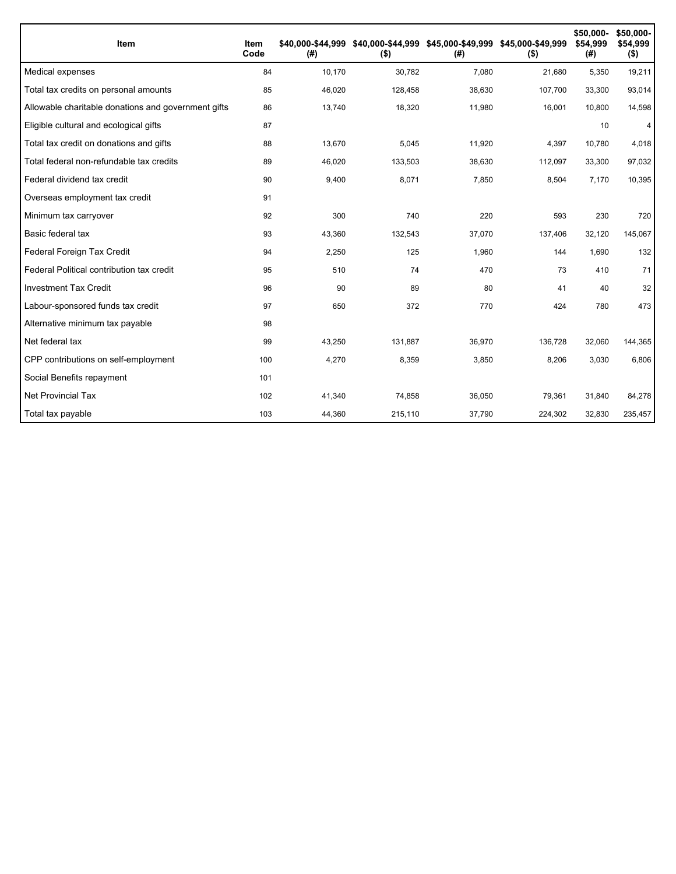| Item                                                | Item<br>Code | \$40.000-\$44.999<br>(#) | $($ \$) | \$40,000-\$44,999 \$45,000-\$49,999 \$45,000-\$49,999<br>(#) | $($ \$) | \$50,000-<br>\$54,999<br>(#) | \$50,000-<br>\$54,999<br>$($ \$) |
|-----------------------------------------------------|--------------|--------------------------|---------|--------------------------------------------------------------|---------|------------------------------|----------------------------------|
| Medical expenses                                    | 84           | 10,170                   | 30,782  | 7,080                                                        | 21,680  | 5,350                        | 19,211                           |
| Total tax credits on personal amounts               | 85           | 46,020                   | 128,458 | 38,630                                                       | 107,700 | 33,300                       | 93,014                           |
| Allowable charitable donations and government gifts | 86           | 13,740                   | 18,320  | 11,980                                                       | 16,001  | 10,800                       | 14,598                           |
| Eligible cultural and ecological gifts              | 87           |                          |         |                                                              |         | 10                           | 4                                |
| Total tax credit on donations and gifts             | 88           | 13,670                   | 5,045   | 11,920                                                       | 4,397   | 10,780                       | 4,018                            |
| Total federal non-refundable tax credits            | 89           | 46,020                   | 133,503 | 38,630                                                       | 112,097 | 33,300                       | 97,032                           |
| Federal dividend tax credit                         | 90           | 9,400                    | 8,071   | 7,850                                                        | 8,504   | 7,170                        | 10,395                           |
| Overseas employment tax credit                      | 91           |                          |         |                                                              |         |                              |                                  |
| Minimum tax carryover                               | 92           | 300                      | 740     | 220                                                          | 593     | 230                          | 720                              |
| Basic federal tax                                   | 93           | 43,360                   | 132,543 | 37,070                                                       | 137,406 | 32,120                       | 145,067                          |
| Federal Foreign Tax Credit                          | 94           | 2,250                    | 125     | 1,960                                                        | 144     | 1,690                        | 132                              |
| Federal Political contribution tax credit           | 95           | 510                      | 74      | 470                                                          | 73      | 410                          | 71                               |
| <b>Investment Tax Credit</b>                        | 96           | 90                       | 89      | 80                                                           | 41      | 40                           | 32                               |
| Labour-sponsored funds tax credit                   | 97           | 650                      | 372     | 770                                                          | 424     | 780                          | 473                              |
| Alternative minimum tax payable                     | 98           |                          |         |                                                              |         |                              |                                  |
| Net federal tax                                     | 99           | 43,250                   | 131,887 | 36,970                                                       | 136,728 | 32,060                       | 144,365                          |
| CPP contributions on self-employment                | 100          | 4,270                    | 8,359   | 3,850                                                        | 8,206   | 3,030                        | 6,806                            |
| Social Benefits repayment                           | 101          |                          |         |                                                              |         |                              |                                  |
| <b>Net Provincial Tax</b>                           | 102          | 41,340                   | 74,858  | 36,050                                                       | 79,361  | 31,840                       | 84,278                           |
| Total tax payable                                   | 103          | 44,360                   | 215,110 | 37,790                                                       | 224,302 | 32,830                       | 235,457                          |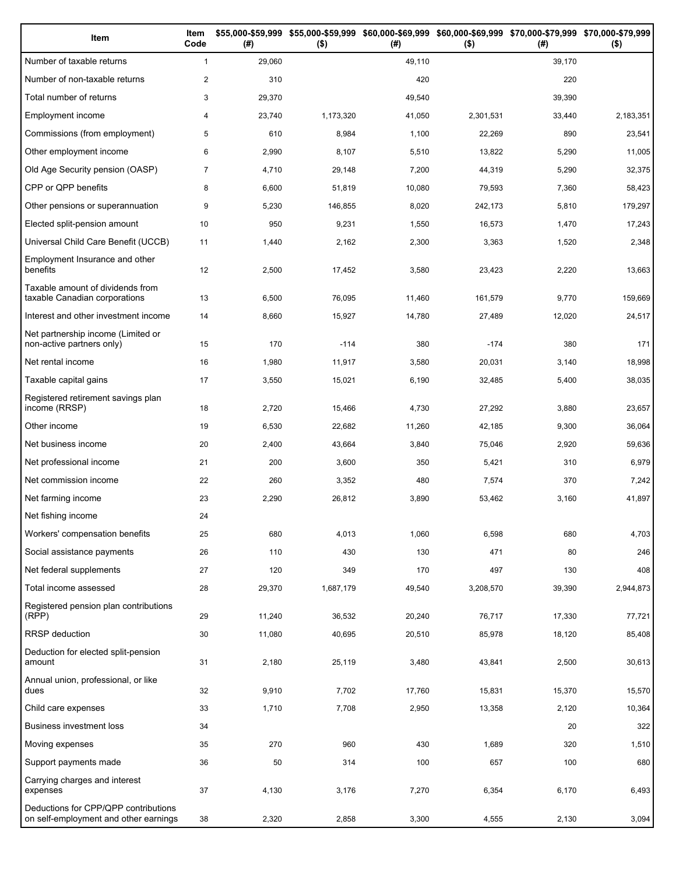| Item                                                                          | Item<br>Code   | (#)    | \$55,000-\$59,999 \$55,000-\$59,999 \$60,000-\$69,999 \$60,000-\$69,999 \$70,000-\$79,999 \$70,000-\$79,999<br>$($ \$) | (# )   | $($ \$)   | (# )   | $($ \$)   |
|-------------------------------------------------------------------------------|----------------|--------|------------------------------------------------------------------------------------------------------------------------|--------|-----------|--------|-----------|
| Number of taxable returns                                                     | $\mathbf{1}$   | 29,060 |                                                                                                                        | 49,110 |           | 39,170 |           |
| Number of non-taxable returns                                                 | $\overline{c}$ | 310    |                                                                                                                        | 420    |           | 220    |           |
| Total number of returns                                                       | 3              | 29,370 |                                                                                                                        | 49,540 |           | 39,390 |           |
| Employment income                                                             | 4              | 23,740 | 1,173,320                                                                                                              | 41,050 | 2,301,531 | 33,440 | 2,183,351 |
| Commissions (from employment)                                                 | 5              | 610    | 8,984                                                                                                                  | 1,100  | 22,269    | 890    | 23,541    |
| Other employment income                                                       | 6              | 2,990  | 8,107                                                                                                                  | 5,510  | 13,822    | 5,290  | 11,005    |
| Old Age Security pension (OASP)                                               | $\overline{7}$ | 4,710  | 29,148                                                                                                                 | 7,200  | 44,319    | 5,290  | 32,375    |
| CPP or QPP benefits                                                           | 8              | 6,600  | 51,819                                                                                                                 | 10,080 | 79,593    | 7,360  | 58,423    |
| Other pensions or superannuation                                              | 9              | 5,230  | 146,855                                                                                                                | 8,020  | 242,173   | 5,810  | 179,297   |
| Elected split-pension amount                                                  | 10             | 950    | 9,231                                                                                                                  | 1,550  | 16,573    | 1,470  | 17,243    |
| Universal Child Care Benefit (UCCB)                                           | 11             | 1,440  | 2,162                                                                                                                  | 2,300  | 3,363     | 1,520  | 2,348     |
| Employment Insurance and other<br>benefits                                    | 12             | 2,500  | 17,452                                                                                                                 | 3,580  | 23,423    | 2,220  | 13,663    |
| Taxable amount of dividends from<br>taxable Canadian corporations             | 13             | 6,500  | 76,095                                                                                                                 | 11,460 | 161,579   | 9,770  | 159,669   |
| Interest and other investment income                                          | 14             | 8,660  | 15,927                                                                                                                 | 14,780 | 27,489    | 12,020 | 24,517    |
| Net partnership income (Limited or<br>non-active partners only)               | 15             | 170    | $-114$                                                                                                                 | 380    | $-174$    | 380    | 171       |
| Net rental income                                                             | 16             | 1,980  | 11,917                                                                                                                 | 3,580  | 20,031    | 3,140  | 18,998    |
| Taxable capital gains                                                         | 17             | 3,550  | 15,021                                                                                                                 | 6,190  | 32,485    | 5,400  | 38,035    |
| Registered retirement savings plan<br>income (RRSP)                           | 18             | 2,720  | 15,466                                                                                                                 | 4,730  | 27,292    | 3,880  | 23,657    |
| Other income                                                                  | 19             | 6,530  | 22,682                                                                                                                 | 11,260 | 42,185    | 9,300  | 36,064    |
| Net business income                                                           | 20             | 2,400  | 43,664                                                                                                                 | 3,840  | 75,046    | 2,920  | 59,636    |
| Net professional income                                                       | 21             | 200    | 3,600                                                                                                                  | 350    | 5,421     | 310    | 6,979     |
| Net commission income                                                         | 22             | 260    | 3,352                                                                                                                  | 480    | 7,574     | 370    | 7,242     |
| Net farming income                                                            | 23             | 2,290  | 26,812                                                                                                                 | 3,890  | 53,462    | 3,160  | 41,897    |
| Net fishing income                                                            | 24             |        |                                                                                                                        |        |           |        |           |
| Workers' compensation benefits                                                | 25             | 680    | 4,013                                                                                                                  | 1,060  | 6,598     | 680    | 4,703     |
| Social assistance payments                                                    | 26             | 110    | 430                                                                                                                    | 130    | 471       | 80     | 246       |
| Net federal supplements                                                       | 27             | 120    | 349                                                                                                                    | 170    | 497       | 130    | 408       |
| Total income assessed                                                         | 28             | 29,370 | 1,687,179                                                                                                              | 49,540 | 3,208,570 | 39,390 | 2,944,873 |
| Registered pension plan contributions<br>(RPP)                                | 29             | 11,240 | 36,532                                                                                                                 | 20,240 | 76,717    | 17,330 | 77,721    |
| RRSP deduction                                                                | 30             | 11,080 | 40,695                                                                                                                 | 20,510 | 85,978    | 18,120 | 85,408    |
| Deduction for elected split-pension<br>amount                                 | 31             | 2,180  | 25,119                                                                                                                 | 3,480  | 43,841    | 2,500  | 30,613    |
| Annual union, professional, or like<br>dues                                   | 32             | 9,910  | 7,702                                                                                                                  | 17,760 | 15,831    | 15,370 | 15,570    |
| Child care expenses                                                           | 33             | 1,710  | 7,708                                                                                                                  | 2,950  | 13,358    | 2,120  | 10,364    |
| Business investment loss                                                      | 34             |        |                                                                                                                        |        |           | 20     | 322       |
| Moving expenses                                                               | 35             | 270    | 960                                                                                                                    | 430    | 1,689     | 320    | 1,510     |
| Support payments made                                                         | 36             | 50     | 314                                                                                                                    | 100    | 657       | 100    | 680       |
| Carrying charges and interest<br>expenses                                     | 37             | 4,130  | 3,176                                                                                                                  | 7,270  | 6,354     | 6,170  | 6,493     |
| Deductions for CPP/QPP contributions<br>on self-employment and other earnings | 38             | 2,320  | 2,858                                                                                                                  | 3,300  | 4,555     | 2,130  | 3,094     |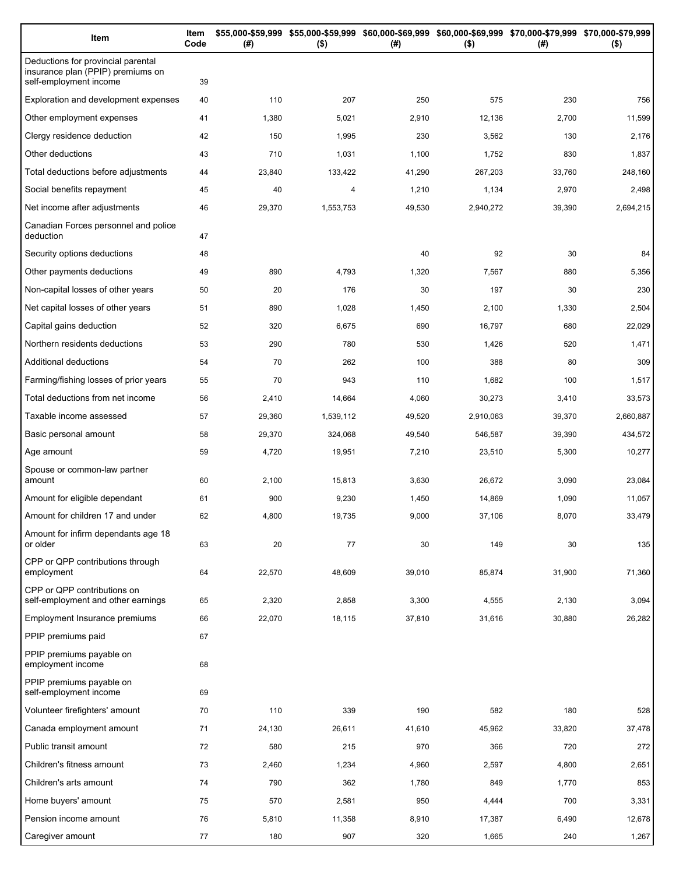| Item                                                                                              | Item<br>Code | (#)    | $($ \$)   | \$55,000-\$59,999 \$55,000-\$59,999 \$60,000-\$69,999 \$60,000-\$69,999 \$70,000-\$79,999 \$70,000-\$79,999<br>(#) | $($ \$)   | (#)    | $($ \$)   |
|---------------------------------------------------------------------------------------------------|--------------|--------|-----------|--------------------------------------------------------------------------------------------------------------------|-----------|--------|-----------|
| Deductions for provincial parental<br>insurance plan (PPIP) premiums on<br>self-employment income | 39           |        |           |                                                                                                                    |           |        |           |
| Exploration and development expenses                                                              | 40           | 110    | 207       | 250                                                                                                                | 575       | 230    | 756       |
| Other employment expenses                                                                         | 41           | 1,380  | 5,021     | 2,910                                                                                                              | 12,136    | 2,700  | 11,599    |
| Clergy residence deduction                                                                        | 42           | 150    | 1,995     | 230                                                                                                                | 3,562     | 130    | 2,176     |
| Other deductions                                                                                  | 43           | 710    | 1,031     | 1,100                                                                                                              | 1,752     | 830    | 1,837     |
| Total deductions before adjustments                                                               | 44           | 23,840 | 133,422   | 41,290                                                                                                             | 267,203   | 33,760 | 248,160   |
| Social benefits repayment                                                                         | 45           | 40     | 4         | 1,210                                                                                                              | 1,134     | 2,970  | 2,498     |
| Net income after adjustments                                                                      | 46           | 29,370 | 1,553,753 | 49,530                                                                                                             | 2,940,272 | 39,390 | 2,694,215 |
| Canadian Forces personnel and police<br>deduction                                                 | 47           |        |           |                                                                                                                    |           |        |           |
| Security options deductions                                                                       | 48           |        |           | 40                                                                                                                 | 92        | 30     | 84        |
| Other payments deductions                                                                         | 49           | 890    | 4,793     | 1,320                                                                                                              | 7,567     | 880    | 5,356     |
| Non-capital losses of other years                                                                 | 50           | 20     | 176       | 30                                                                                                                 | 197       | 30     | 230       |
| Net capital losses of other years                                                                 | 51           | 890    | 1,028     | 1,450                                                                                                              | 2,100     | 1,330  | 2,504     |
| Capital gains deduction                                                                           | 52           | 320    | 6,675     | 690                                                                                                                | 16,797    | 680    | 22,029    |
| Northern residents deductions                                                                     | 53           | 290    | 780       | 530                                                                                                                | 1,426     | 520    | 1,471     |
| Additional deductions                                                                             | 54           | 70     | 262       | 100                                                                                                                | 388       | 80     | 309       |
| Farming/fishing losses of prior years                                                             | 55           | 70     | 943       | 110                                                                                                                | 1,682     | 100    | 1,517     |
| Total deductions from net income                                                                  | 56           | 2,410  | 14,664    | 4,060                                                                                                              | 30,273    | 3,410  | 33,573    |
| Taxable income assessed                                                                           | 57           | 29,360 | 1,539,112 | 49,520                                                                                                             | 2,910,063 | 39,370 | 2,660,887 |
| Basic personal amount                                                                             | 58           | 29,370 | 324,068   | 49,540                                                                                                             | 546,587   | 39,390 | 434,572   |
| Age amount                                                                                        | 59           | 4,720  | 19,951    | 7,210                                                                                                              | 23,510    | 5,300  | 10,277    |
| Spouse or common-law partner<br>amount                                                            | 60           | 2,100  | 15,813    | 3,630                                                                                                              | 26,672    | 3,090  | 23,084    |
| Amount for eligible dependant                                                                     | 61           | 900    | 9,230     | 1,450                                                                                                              | 14,869    | 1,090  | 11,057    |
| Amount for children 17 and under                                                                  | 62           | 4,800  | 19,735    | 9,000                                                                                                              | 37,106    | 8,070  | 33,479    |
| Amount for infirm dependants age 18<br>or older                                                   | 63           | 20     | 77        | 30                                                                                                                 | 149       | 30     | 135       |
| CPP or QPP contributions through<br>employment                                                    | 64           | 22,570 | 48,609    | 39,010                                                                                                             | 85,874    | 31,900 | 71,360    |
| CPP or QPP contributions on<br>self-employment and other earnings                                 | 65           | 2,320  | 2,858     | 3,300                                                                                                              | 4,555     | 2,130  | 3,094     |
| Employment Insurance premiums                                                                     | 66           | 22,070 | 18,115    | 37,810                                                                                                             | 31,616    | 30,880 | 26,282    |
| PPIP premiums paid                                                                                | 67           |        |           |                                                                                                                    |           |        |           |
| PPIP premiums payable on<br>employment income                                                     | 68           |        |           |                                                                                                                    |           |        |           |
| PPIP premiums payable on<br>self-employment income                                                | 69           |        |           |                                                                                                                    |           |        |           |
| Volunteer firefighters' amount                                                                    | 70           | 110    | 339       | 190                                                                                                                | 582       | 180    | 528       |
| Canada employment amount                                                                          | 71           | 24,130 | 26,611    | 41,610                                                                                                             | 45,962    | 33,820 | 37,478    |
| Public transit amount                                                                             | 72           | 580    | 215       | 970                                                                                                                | 366       | 720    | 272       |
| Children's fitness amount                                                                         | 73           | 2,460  | 1,234     | 4,960                                                                                                              | 2,597     | 4,800  | 2,651     |
| Children's arts amount                                                                            | 74           | 790    | 362       | 1,780                                                                                                              | 849       | 1,770  | 853       |
| Home buyers' amount                                                                               | 75           | 570    | 2,581     | 950                                                                                                                | 4,444     | 700    | 3,331     |
| Pension income amount                                                                             | 76           | 5,810  | 11,358    | 8,910                                                                                                              | 17,387    | 6,490  | 12,678    |
| Caregiver amount                                                                                  | 77           | 180    | 907       | 320                                                                                                                | 1,665     | 240    | 1,267     |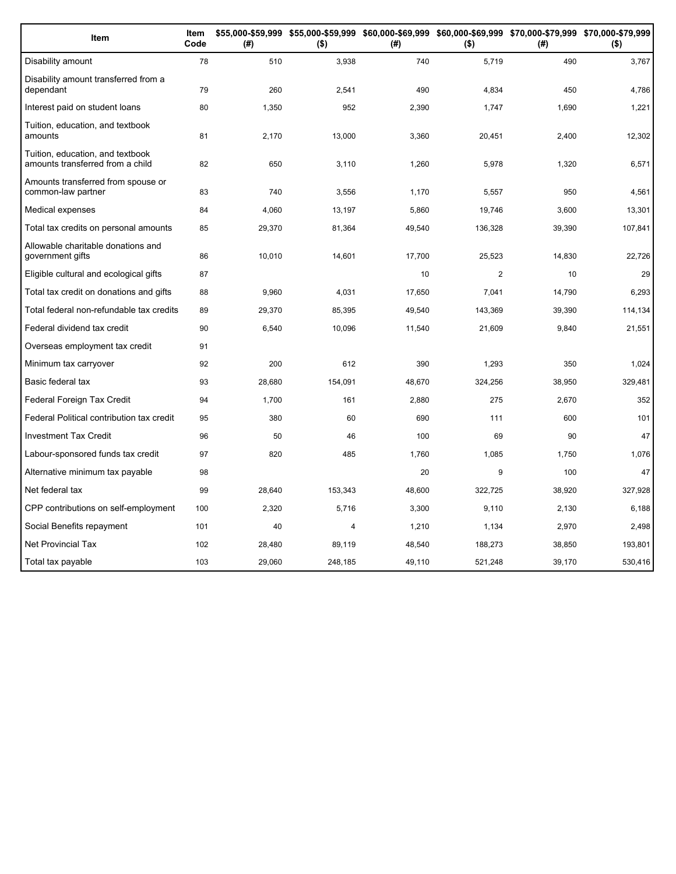| Item                                                                 | Item<br>Code | (#)    | $($ \$) | (#)    | $($ \$)        | \$55,000-\$59,999 \$55,000-\$59,999 \$60,000-\$69,999 \$60,000-\$69,999 \$70,000-\$79,999 \$70,000-\$79,999<br>(# ) | $($ \$) |
|----------------------------------------------------------------------|--------------|--------|---------|--------|----------------|---------------------------------------------------------------------------------------------------------------------|---------|
| Disability amount                                                    | 78           | 510    | 3,938   | 740    | 5,719          | 490                                                                                                                 | 3,767   |
| Disability amount transferred from a<br>dependant                    | 79           | 260    | 2,541   | 490    | 4,834          | 450                                                                                                                 | 4,786   |
| Interest paid on student loans                                       | 80           | 1,350  | 952     | 2,390  | 1,747          | 1,690                                                                                                               | 1,221   |
| Tuition, education, and textbook<br>amounts                          | 81           | 2,170  | 13,000  | 3,360  | 20,451         | 2,400                                                                                                               | 12,302  |
| Tuition, education, and textbook<br>amounts transferred from a child | 82           | 650    | 3,110   | 1,260  | 5,978          | 1,320                                                                                                               | 6,571   |
| Amounts transferred from spouse or<br>common-law partner             | 83           | 740    | 3,556   | 1,170  | 5,557          | 950                                                                                                                 | 4,561   |
| Medical expenses                                                     | 84           | 4,060  | 13,197  | 5,860  | 19,746         | 3,600                                                                                                               | 13,301  |
| Total tax credits on personal amounts                                | 85           | 29,370 | 81,364  | 49,540 | 136,328        | 39,390                                                                                                              | 107,841 |
| Allowable charitable donations and<br>government gifts               | 86           | 10,010 | 14,601  | 17,700 | 25,523         | 14,830                                                                                                              | 22,726  |
| Eligible cultural and ecological gifts                               | 87           |        |         | 10     | $\overline{2}$ | 10                                                                                                                  | 29      |
| Total tax credit on donations and gifts                              | 88           | 9,960  | 4,031   | 17,650 | 7,041          | 14,790                                                                                                              | 6,293   |
| Total federal non-refundable tax credits                             | 89           | 29,370 | 85,395  | 49,540 | 143,369        | 39,390                                                                                                              | 114,134 |
| Federal dividend tax credit                                          | 90           | 6,540  | 10,096  | 11,540 | 21,609         | 9,840                                                                                                               | 21,551  |
| Overseas employment tax credit                                       | 91           |        |         |        |                |                                                                                                                     |         |
| Minimum tax carryover                                                | 92           | 200    | 612     | 390    | 1.293          | 350                                                                                                                 | 1,024   |
| Basic federal tax                                                    | 93           | 28,680 | 154,091 | 48,670 | 324,256        | 38,950                                                                                                              | 329,481 |
| Federal Foreign Tax Credit                                           | 94           | 1,700  | 161     | 2,880  | 275            | 2,670                                                                                                               | 352     |
| Federal Political contribution tax credit                            | 95           | 380    | 60      | 690    | 111            | 600                                                                                                                 | 101     |
| <b>Investment Tax Credit</b>                                         | 96           | 50     | 46      | 100    | 69             | 90                                                                                                                  | 47      |
| Labour-sponsored funds tax credit                                    | 97           | 820    | 485     | 1,760  | 1,085          | 1,750                                                                                                               | 1,076   |
| Alternative minimum tax payable                                      | 98           |        |         | 20     | 9              | 100                                                                                                                 | 47      |
| Net federal tax                                                      | 99           | 28,640 | 153,343 | 48,600 | 322,725        | 38,920                                                                                                              | 327,928 |
| CPP contributions on self-employment                                 | 100          | 2,320  | 5,716   | 3,300  | 9,110          | 2,130                                                                                                               | 6,188   |
| Social Benefits repayment                                            | 101          | 40     | 4       | 1,210  | 1,134          | 2,970                                                                                                               | 2,498   |
| <b>Net Provincial Tax</b>                                            | 102          | 28,480 | 89,119  | 48,540 | 188,273        | 38,850                                                                                                              | 193,801 |
| Total tax payable                                                    | 103          | 29,060 | 248,185 | 49,110 | 521,248        | 39,170                                                                                                              | 530,416 |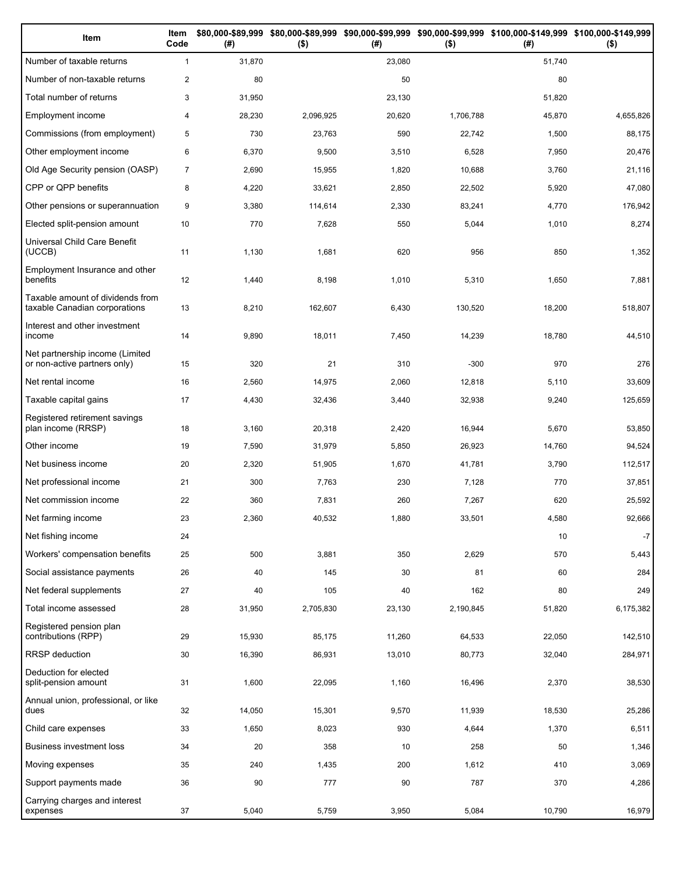| Item                                                              | Item<br>Code   | (#)    | $($ \$)   | (# )   | $($ \$)   | \$80,000-\$89,999 \$80,000-\$89,999 \$90,000-\$99,999 \$90,000-\$99,999 \$100,000-\$149,999 \$100,000-\$149,999<br>(# ) | $($ \$)   |
|-------------------------------------------------------------------|----------------|--------|-----------|--------|-----------|-------------------------------------------------------------------------------------------------------------------------|-----------|
| Number of taxable returns                                         | $\mathbf{1}$   | 31,870 |           | 23,080 |           | 51,740                                                                                                                  |           |
| Number of non-taxable returns                                     | $\overline{c}$ | 80     |           | 50     |           | 80                                                                                                                      |           |
| Total number of returns                                           | 3              | 31,950 |           | 23,130 |           | 51,820                                                                                                                  |           |
| Employment income                                                 | 4              | 28,230 | 2,096,925 | 20,620 | 1,706,788 | 45,870                                                                                                                  | 4,655,826 |
| Commissions (from employment)                                     | 5              | 730    | 23,763    | 590    | 22,742    | 1,500                                                                                                                   | 88,175    |
| Other employment income                                           | 6              | 6,370  | 9,500     | 3,510  | 6,528     | 7,950                                                                                                                   | 20,476    |
| Old Age Security pension (OASP)                                   | $\overline{7}$ | 2,690  | 15,955    | 1,820  | 10,688    | 3,760                                                                                                                   | 21,116    |
| CPP or QPP benefits                                               | 8              | 4,220  | 33,621    | 2,850  | 22,502    | 5,920                                                                                                                   | 47,080    |
| Other pensions or superannuation                                  | 9              | 3,380  | 114,614   | 2,330  | 83,241    | 4,770                                                                                                                   | 176,942   |
| Elected split-pension amount                                      | 10             | 770    | 7,628     | 550    | 5,044     | 1,010                                                                                                                   | 8,274     |
| Universal Child Care Benefit<br>(UCCB)                            | 11             | 1,130  | 1,681     | 620    | 956       | 850                                                                                                                     | 1,352     |
| Employment Insurance and other<br>benefits                        | 12             | 1,440  | 8,198     | 1,010  | 5,310     | 1,650                                                                                                                   | 7,881     |
| Taxable amount of dividends from<br>taxable Canadian corporations | 13             | 8,210  | 162,607   | 6,430  | 130,520   | 18,200                                                                                                                  | 518,807   |
| Interest and other investment<br>income                           | 14             | 9,890  | 18,011    | 7,450  | 14,239    | 18,780                                                                                                                  | 44,510    |
| Net partnership income (Limited<br>or non-active partners only)   | 15             | 320    | 21        | 310    | $-300$    | 970                                                                                                                     | 276       |
| Net rental income                                                 | 16             | 2,560  | 14,975    | 2,060  | 12,818    | 5,110                                                                                                                   | 33,609    |
| Taxable capital gains                                             | 17             | 4,430  | 32,436    | 3,440  | 32,938    | 9,240                                                                                                                   | 125,659   |
| Registered retirement savings<br>plan income (RRSP)               | 18             | 3,160  | 20,318    | 2,420  | 16,944    | 5,670                                                                                                                   | 53,850    |
| Other income                                                      | 19             | 7,590  | 31,979    | 5,850  | 26,923    | 14,760                                                                                                                  | 94,524    |
| Net business income                                               | 20             | 2,320  | 51,905    | 1,670  | 41,781    | 3,790                                                                                                                   | 112,517   |
| Net professional income                                           | 21             | 300    | 7,763     | 230    | 7,128     | 770                                                                                                                     | 37,851    |
| Net commission income                                             | 22             | 360    | 7,831     | 260    | 7,267     | 620                                                                                                                     | 25,592    |
| Net farming income                                                | 23             | 2,360  | 40,532    | 1,880  | 33,501    | 4,580                                                                                                                   | 92,666    |
| Net fishing income                                                | 24             |        |           |        |           | 10                                                                                                                      | $-7$      |
| Workers' compensation benefits                                    | 25             | 500    | 3,881     | 350    | 2,629     | 570                                                                                                                     | 5,443     |
| Social assistance payments                                        | 26             | 40     | 145       | 30     | 81        | 60                                                                                                                      | 284       |
| Net federal supplements                                           | 27             | 40     | 105       | 40     | 162       | 80                                                                                                                      | 249       |
| Total income assessed                                             | 28             | 31,950 | 2,705,830 | 23,130 | 2,190,845 | 51,820                                                                                                                  | 6,175,382 |
| Registered pension plan<br>contributions (RPP)                    | 29             | 15,930 | 85,175    | 11,260 | 64,533    | 22,050                                                                                                                  | 142,510   |
| RRSP deduction                                                    | 30             | 16,390 | 86,931    | 13,010 | 80,773    | 32,040                                                                                                                  | 284,971   |
| Deduction for elected<br>split-pension amount                     | 31             | 1,600  | 22,095    | 1,160  | 16,496    | 2,370                                                                                                                   | 38,530    |
| Annual union, professional, or like<br>dues                       | 32             | 14,050 | 15,301    | 9,570  | 11,939    | 18,530                                                                                                                  | 25,286    |
| Child care expenses                                               | 33             | 1,650  | 8,023     | 930    | 4,644     | 1,370                                                                                                                   | 6,511     |
| <b>Business investment loss</b>                                   | 34             | 20     | 358       | 10     | 258       | 50                                                                                                                      | 1,346     |
| Moving expenses                                                   | 35             | 240    | 1,435     | 200    | 1,612     | 410                                                                                                                     | 3,069     |
| Support payments made                                             | 36             | 90     | 777       | 90     | 787       | 370                                                                                                                     | 4,286     |
| Carrying charges and interest<br>expenses                         | 37             | 5,040  | 5,759     | 3,950  | 5,084     | 10,790                                                                                                                  | 16,979    |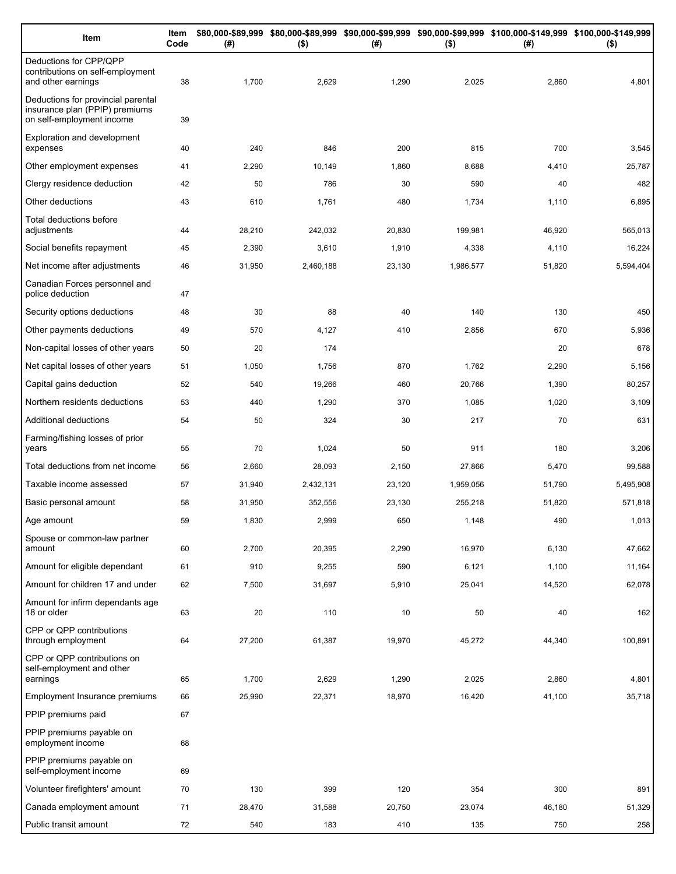| Item                                                                                              | Item<br>Code | (# )   | $($ \$)   | (#)    | $($ \$)   | \$80,000-\$89,999 \$80,000-\$89,999 \$90,000-\$99,999 \$90,000-\$99,999 \$100,000-\$149,999 \$100,000-\$149,999<br>(#) | $($ \$)   |
|---------------------------------------------------------------------------------------------------|--------------|--------|-----------|--------|-----------|------------------------------------------------------------------------------------------------------------------------|-----------|
| Deductions for CPP/QPP<br>contributions on self-employment<br>and other earnings                  | 38           | 1,700  | 2,629     | 1,290  | 2,025     | 2,860                                                                                                                  | 4,801     |
| Deductions for provincial parental<br>insurance plan (PPIP) premiums<br>on self-employment income | 39           |        |           |        |           |                                                                                                                        |           |
| <b>Exploration and development</b><br>expenses                                                    | 40           | 240    | 846       | 200    | 815       | 700                                                                                                                    | 3,545     |
| Other employment expenses                                                                         | 41           | 2,290  | 10,149    | 1,860  | 8,688     | 4,410                                                                                                                  | 25,787    |
| Clergy residence deduction                                                                        | 42           | 50     | 786       | 30     | 590       | 40                                                                                                                     | 482       |
| Other deductions                                                                                  | 43           | 610    | 1,761     | 480    | 1,734     | 1,110                                                                                                                  | 6,895     |
| Total deductions before<br>adjustments                                                            | 44           | 28,210 | 242,032   | 20,830 | 199,981   | 46,920                                                                                                                 | 565,013   |
| Social benefits repayment                                                                         | 45           | 2,390  | 3,610     | 1,910  | 4,338     | 4,110                                                                                                                  | 16,224    |
| Net income after adjustments                                                                      | 46           | 31,950 | 2,460,188 | 23,130 | 1,986,577 | 51,820                                                                                                                 | 5,594,404 |
| Canadian Forces personnel and<br>police deduction                                                 | 47           |        |           |        |           |                                                                                                                        |           |
| Security options deductions                                                                       | 48           | 30     | 88        | 40     | 140       | 130                                                                                                                    | 450       |
| Other payments deductions                                                                         | 49           | 570    | 4,127     | 410    | 2,856     | 670                                                                                                                    | 5,936     |
| Non-capital losses of other years                                                                 | 50           | 20     | 174       |        |           | 20                                                                                                                     | 678       |
| Net capital losses of other years                                                                 | 51           | 1,050  | 1,756     | 870    | 1,762     | 2,290                                                                                                                  | 5,156     |
| Capital gains deduction                                                                           | 52           | 540    | 19,266    | 460    | 20,766    | 1,390                                                                                                                  | 80,257    |
| Northern residents deductions                                                                     | 53           | 440    | 1,290     | 370    | 1,085     | 1,020                                                                                                                  | 3,109     |
| Additional deductions                                                                             | 54           | 50     | 324       | 30     | 217       | 70                                                                                                                     | 631       |
| Farming/fishing losses of prior<br>years                                                          | 55           | 70     | 1,024     | 50     | 911       | 180                                                                                                                    | 3,206     |
| Total deductions from net income                                                                  | 56           | 2,660  | 28,093    | 2,150  | 27,866    | 5,470                                                                                                                  | 99,588    |
| Taxable income assessed                                                                           | 57           | 31,940 | 2,432,131 | 23,120 | 1,959,056 | 51,790                                                                                                                 | 5,495,908 |
| Basic personal amount                                                                             | 58           | 31,950 | 352,556   | 23,130 | 255,218   | 51,820                                                                                                                 | 571,818   |
| Age amount                                                                                        | 59           | 1,830  | 2,999     | 650    | 1,148     | 490                                                                                                                    | 1,013     |
| Spouse or common-law partner<br>amount                                                            | 60           | 2,700  | 20,395    | 2,290  | 16,970    | 6,130                                                                                                                  | 47,662    |
| Amount for eligible dependant                                                                     | 61           | 910    | 9,255     | 590    | 6,121     | 1,100                                                                                                                  | 11,164    |
| Amount for children 17 and under                                                                  | 62           | 7,500  | 31,697    | 5,910  | 25,041    | 14,520                                                                                                                 | 62,078    |
| Amount for infirm dependants age<br>18 or older                                                   | 63           | 20     | 110       | 10     | 50        | 40                                                                                                                     | 162       |
| CPP or QPP contributions<br>through employment                                                    | 64           | 27,200 | 61,387    | 19,970 | 45,272    | 44,340                                                                                                                 | 100,891   |
| CPP or QPP contributions on<br>self-employment and other                                          |              |        |           |        |           |                                                                                                                        |           |
| earnings                                                                                          | 65           | 1,700  | 2,629     | 1,290  | 2,025     | 2,860                                                                                                                  | 4,801     |
| Employment Insurance premiums<br>PPIP premiums paid                                               | 66           | 25,990 | 22,371    | 18,970 | 16,420    | 41,100                                                                                                                 | 35,718    |
| PPIP premiums payable on                                                                          | 67           |        |           |        |           |                                                                                                                        |           |
| employment income                                                                                 | 68           |        |           |        |           |                                                                                                                        |           |
| PPIP premiums payable on<br>self-employment income                                                | 69           |        |           |        |           |                                                                                                                        |           |
| Volunteer firefighters' amount                                                                    | 70           | 130    | 399       | 120    | 354       | 300                                                                                                                    | 891       |
| Canada employment amount                                                                          | 71           | 28,470 | 31,588    | 20,750 | 23,074    | 46,180                                                                                                                 | 51,329    |
| Public transit amount                                                                             | 72           | 540    | 183       | 410    | 135       | 750                                                                                                                    | 258       |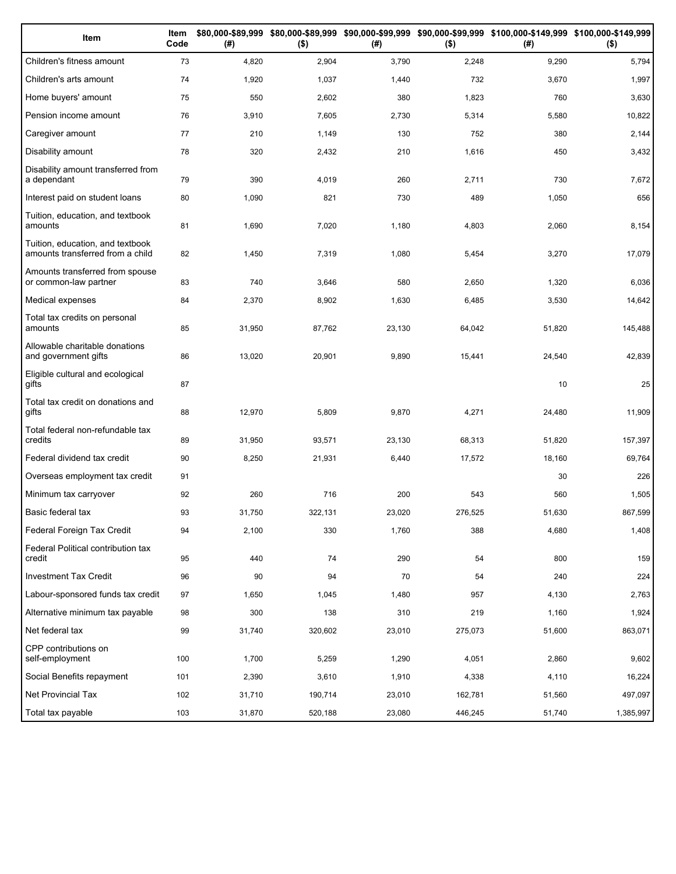| Item                                                                 | Item<br>Code | (#)    | $($ \$) | (# )   | $($ \$) | \$80,000-\$89,999 \$80,000-\$89,999 \$90,000-\$99,999 \$90,000-\$99,999 \$100,000-\$149,999 \$100,000-\$149,999<br>(#) | $($ \$)   |
|----------------------------------------------------------------------|--------------|--------|---------|--------|---------|------------------------------------------------------------------------------------------------------------------------|-----------|
| Children's fitness amount                                            | 73           | 4,820  | 2,904   | 3,790  | 2,248   | 9,290                                                                                                                  | 5,794     |
| Children's arts amount                                               | 74           | 1,920  | 1,037   | 1,440  | 732     | 3,670                                                                                                                  | 1,997     |
| Home buyers' amount                                                  | 75           | 550    | 2,602   | 380    | 1,823   | 760                                                                                                                    | 3,630     |
| Pension income amount                                                | 76           | 3,910  | 7,605   | 2,730  | 5,314   | 5,580                                                                                                                  | 10,822    |
| Caregiver amount                                                     | 77           | 210    | 1,149   | 130    | 752     | 380                                                                                                                    | 2,144     |
| Disability amount                                                    | 78           | 320    | 2,432   | 210    | 1,616   | 450                                                                                                                    | 3,432     |
| Disability amount transferred from<br>a dependant                    | 79           | 390    | 4,019   | 260    | 2,711   | 730                                                                                                                    | 7,672     |
| Interest paid on student loans                                       | 80           | 1,090  | 821     | 730    | 489     | 1,050                                                                                                                  | 656       |
| Tuition, education, and textbook<br>amounts                          | 81           | 1,690  | 7,020   | 1,180  | 4,803   | 2,060                                                                                                                  | 8,154     |
| Tuition, education, and textbook<br>amounts transferred from a child | 82           | 1,450  | 7,319   | 1,080  | 5,454   | 3,270                                                                                                                  | 17,079    |
| Amounts transferred from spouse<br>or common-law partner             | 83           | 740    | 3,646   | 580    | 2,650   | 1,320                                                                                                                  | 6,036     |
| Medical expenses                                                     | 84           | 2,370  | 8,902   | 1,630  | 6,485   | 3,530                                                                                                                  | 14,642    |
| Total tax credits on personal<br>amounts                             | 85           | 31,950 | 87,762  | 23,130 | 64,042  | 51,820                                                                                                                 | 145,488   |
| Allowable charitable donations<br>and government gifts               | 86           | 13,020 | 20,901  | 9,890  | 15,441  | 24,540                                                                                                                 | 42,839    |
| Eligible cultural and ecological<br>gifts                            | 87           |        |         |        |         | 10                                                                                                                     | 25        |
| Total tax credit on donations and<br>gifts                           | 88           | 12,970 | 5,809   | 9,870  | 4,271   | 24,480                                                                                                                 | 11,909    |
| Total federal non-refundable tax<br>credits                          | 89           | 31,950 | 93,571  | 23,130 | 68,313  | 51,820                                                                                                                 | 157,397   |
| Federal dividend tax credit                                          | 90           | 8,250  | 21,931  | 6,440  | 17,572  | 18,160                                                                                                                 | 69,764    |
| Overseas employment tax credit                                       | 91           |        |         |        |         | 30                                                                                                                     | 226       |
| Minimum tax carryover                                                | 92           | 260    | 716     | 200    | 543     | 560                                                                                                                    | 1,505     |
| Basic federal tax                                                    | 93           | 31,750 | 322,131 | 23,020 | 276,525 | 51,630                                                                                                                 | 867,599   |
| Federal Foreign Tax Credit                                           | 94           | 2,100  | 330     | 1,760  | 388     | 4,680                                                                                                                  | 1,408     |
| Federal Political contribution tax<br>credit                         | 95           | 440    | 74      | 290    | 54      | 800                                                                                                                    | 159       |
| Investment Tax Credit                                                | 96           | 90     | 94      | 70     | 54      | 240                                                                                                                    | 224       |
| Labour-sponsored funds tax credit                                    | 97           | 1,650  | 1,045   | 1,480  | 957     | 4,130                                                                                                                  | 2,763     |
| Alternative minimum tax payable                                      | 98           | 300    | 138     | 310    | 219     | 1,160                                                                                                                  | 1,924     |
| Net federal tax                                                      | 99           | 31,740 | 320,602 | 23,010 | 275,073 | 51,600                                                                                                                 | 863,071   |
| CPP contributions on<br>self-employment                              | 100          | 1,700  | 5,259   | 1,290  | 4,051   | 2,860                                                                                                                  | 9,602     |
| Social Benefits repayment                                            | 101          | 2,390  | 3,610   | 1,910  | 4,338   | 4,110                                                                                                                  | 16,224    |
| Net Provincial Tax                                                   | 102          | 31,710 | 190,714 | 23,010 | 162,781 | 51,560                                                                                                                 | 497,097   |
| Total tax payable                                                    | 103          | 31,870 | 520,188 | 23,080 | 446,245 | 51,740                                                                                                                 | 1,385,997 |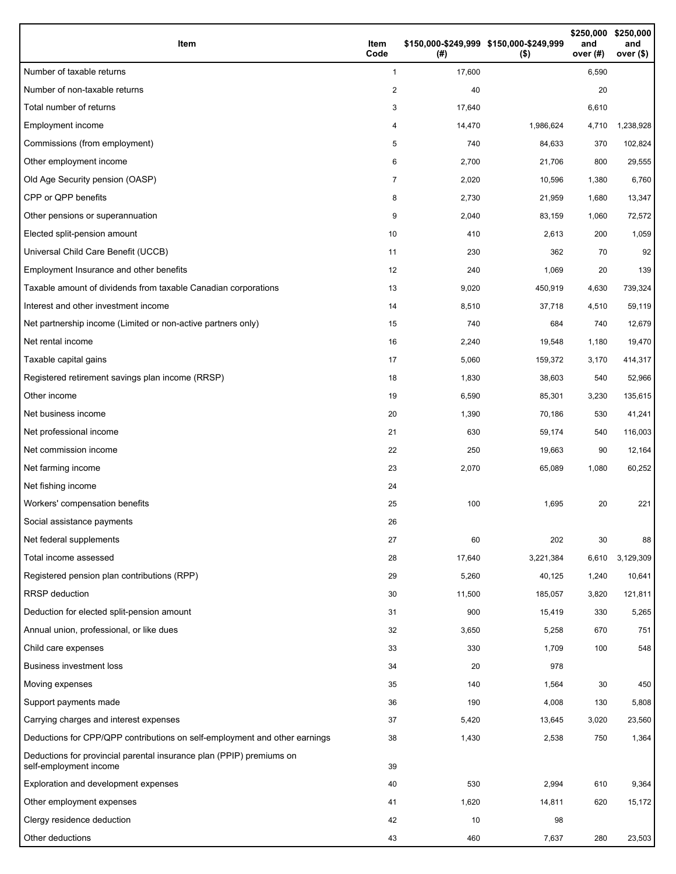| Item                                                                                           | Item<br>Code | (#)    | \$150,000-\$249,999 \$150,000-\$249,999<br>$($ \$) | \$250,000<br>and<br>over $(H)$ | \$250,000<br>and<br>over (\$) |
|------------------------------------------------------------------------------------------------|--------------|--------|----------------------------------------------------|--------------------------------|-------------------------------|
| Number of taxable returns                                                                      | $\mathbf{1}$ | 17,600 |                                                    | 6,590                          |                               |
| Number of non-taxable returns                                                                  | 2            | 40     |                                                    | 20                             |                               |
| Total number of returns                                                                        | 3            | 17,640 |                                                    | 6,610                          |                               |
| Employment income                                                                              | 4            | 14,470 | 1,986,624                                          | 4,710                          | 1,238,928                     |
| Commissions (from employment)                                                                  | 5            | 740    | 84,633                                             | 370                            | 102,824                       |
| Other employment income                                                                        | 6            | 2,700  | 21,706                                             | 800                            | 29,555                        |
| Old Age Security pension (OASP)                                                                | 7            | 2,020  | 10,596                                             | 1,380                          | 6,760                         |
| CPP or QPP benefits                                                                            | 8            | 2,730  | 21,959                                             | 1,680                          | 13,347                        |
| Other pensions or superannuation                                                               | 9            | 2,040  | 83,159                                             | 1,060                          | 72,572                        |
| Elected split-pension amount                                                                   | 10           | 410    | 2,613                                              | 200                            | 1,059                         |
| Universal Child Care Benefit (UCCB)                                                            | 11           | 230    | 362                                                | 70                             | 92                            |
| Employment Insurance and other benefits                                                        | 12           | 240    | 1,069                                              | 20                             | 139                           |
| Taxable amount of dividends from taxable Canadian corporations                                 | 13           | 9,020  | 450,919                                            | 4,630                          | 739,324                       |
| Interest and other investment income                                                           | 14           | 8,510  | 37,718                                             | 4,510                          | 59,119                        |
| Net partnership income (Limited or non-active partners only)                                   | 15           | 740    | 684                                                | 740                            | 12,679                        |
| Net rental income                                                                              | 16           | 2,240  | 19,548                                             | 1,180                          | 19,470                        |
| Taxable capital gains                                                                          | 17           | 5,060  | 159,372                                            | 3,170                          | 414,317                       |
| Registered retirement savings plan income (RRSP)                                               | 18           | 1,830  | 38,603                                             | 540                            | 52,966                        |
| Other income                                                                                   | 19           | 6,590  | 85,301                                             | 3,230                          | 135,615                       |
| Net business income                                                                            | 20           | 1,390  | 70,186                                             | 530                            | 41,241                        |
| Net professional income                                                                        | 21           | 630    | 59,174                                             | 540                            | 116,003                       |
| Net commission income                                                                          | 22           | 250    | 19,663                                             | 90                             | 12,164                        |
| Net farming income                                                                             | 23           | 2,070  | 65,089                                             | 1,080                          | 60,252                        |
| Net fishing income                                                                             | 24           |        |                                                    |                                |                               |
| Workers' compensation benefits                                                                 | 25           | 100    | 1,695                                              | 20                             | 221                           |
| Social assistance payments                                                                     | 26           |        |                                                    |                                |                               |
| Net federal supplements                                                                        | 27           | 60     | 202                                                | 30                             | 88                            |
| Total income assessed                                                                          | 28           | 17,640 | 3,221,384                                          | 6,610                          | 3,129,309                     |
| Registered pension plan contributions (RPP)                                                    | 29           | 5,260  | 40,125                                             | 1,240                          | 10,641                        |
| <b>RRSP</b> deduction                                                                          | 30           | 11,500 | 185,057                                            | 3,820                          | 121,811                       |
| Deduction for elected split-pension amount                                                     | 31           | 900    | 15,419                                             | 330                            | 5,265                         |
| Annual union, professional, or like dues                                                       | 32           | 3,650  | 5,258                                              | 670                            | 751                           |
| Child care expenses                                                                            | 33           | 330    | 1,709                                              | 100                            | 548                           |
| <b>Business investment loss</b>                                                                | 34           | 20     | 978                                                |                                |                               |
| Moving expenses                                                                                | 35           | 140    | 1,564                                              | 30                             | 450                           |
| Support payments made                                                                          | 36           | 190    | 4,008                                              | 130                            | 5,808                         |
| Carrying charges and interest expenses                                                         | 37           | 5,420  | 13,645                                             | 3,020                          | 23,560                        |
| Deductions for CPP/QPP contributions on self-employment and other earnings                     | 38           | 1,430  | 2,538                                              | 750                            | 1,364                         |
| Deductions for provincial parental insurance plan (PPIP) premiums on<br>self-employment income | 39           |        |                                                    |                                |                               |
| Exploration and development expenses                                                           | 40           | 530    | 2,994                                              | 610                            | 9,364                         |
| Other employment expenses                                                                      | 41           | 1,620  | 14,811                                             | 620                            | 15,172                        |
| Clergy residence deduction                                                                     | 42           | 10     | 98                                                 |                                |                               |
| Other deductions                                                                               | 43           | 460    | 7,637                                              | 280                            | 23,503                        |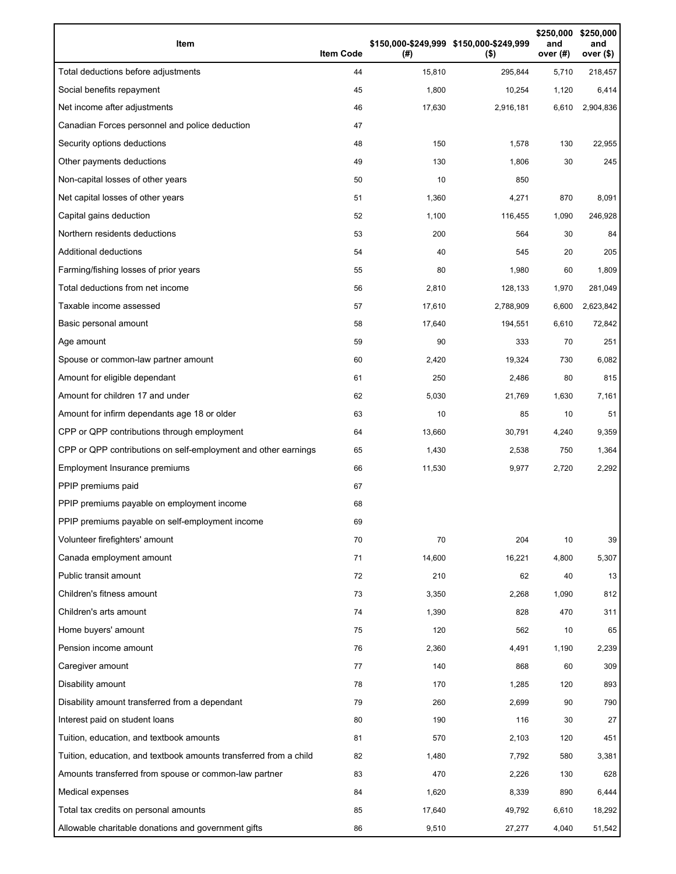| Item                                                              | <b>Item Code</b> | (# )   | \$150,000-\$249,999 \$150,000-\$249,999<br>$($ \$) | \$250,000<br>and<br>over (#) | \$250,000<br>and<br>over (\$) |
|-------------------------------------------------------------------|------------------|--------|----------------------------------------------------|------------------------------|-------------------------------|
| Total deductions before adjustments                               | 44               | 15,810 | 295,844                                            | 5,710                        | 218,457                       |
| Social benefits repayment                                         | 45               | 1,800  | 10,254                                             | 1,120                        | 6,414                         |
| Net income after adjustments                                      | 46               | 17,630 | 2,916,181                                          | 6,610                        | 2,904,836                     |
| Canadian Forces personnel and police deduction                    | 47               |        |                                                    |                              |                               |
| Security options deductions                                       | 48               | 150    | 1,578                                              | 130                          | 22,955                        |
| Other payments deductions                                         | 49               | 130    | 1,806                                              | 30                           | 245                           |
| Non-capital losses of other years                                 | 50               | 10     | 850                                                |                              |                               |
| Net capital losses of other years                                 | 51               | 1,360  | 4,271                                              | 870                          | 8,091                         |
| Capital gains deduction                                           | 52               | 1,100  | 116,455                                            | 1,090                        | 246,928                       |
| Northern residents deductions                                     | 53               | 200    | 564                                                | 30                           | 84                            |
| Additional deductions                                             | 54               | 40     | 545                                                | 20                           | 205                           |
| Farming/fishing losses of prior years                             | 55               | 80     | 1,980                                              | 60                           | 1,809                         |
| Total deductions from net income                                  | 56               | 2,810  | 128,133                                            | 1,970                        | 281,049                       |
| Taxable income assessed                                           | 57               | 17,610 | 2,788,909                                          | 6,600                        | 2,623,842                     |
| Basic personal amount                                             | 58               | 17,640 | 194,551                                            | 6,610                        | 72,842                        |
| Age amount                                                        | 59               | 90     | 333                                                | 70                           | 251                           |
| Spouse or common-law partner amount                               | 60               | 2,420  | 19,324                                             | 730                          | 6,082                         |
| Amount for eligible dependant                                     | 61               | 250    | 2,486                                              | 80                           | 815                           |
| Amount for children 17 and under                                  | 62               | 5,030  | 21,769                                             | 1,630                        | 7,161                         |
| Amount for infirm dependants age 18 or older                      | 63               | 10     | 85                                                 | 10                           | 51                            |
| CPP or QPP contributions through employment                       | 64               | 13,660 | 30,791                                             | 4,240                        | 9,359                         |
| CPP or QPP contributions on self-employment and other earnings    | 65               | 1,430  | 2,538                                              | 750                          | 1,364                         |
| Employment Insurance premiums                                     | 66               | 11,530 | 9,977                                              | 2,720                        | 2,292                         |
| PPIP premiums paid                                                | 67               |        |                                                    |                              |                               |
| PPIP premiums payable on employment income                        | 68               |        |                                                    |                              |                               |
| PPIP premiums payable on self-employment income                   | 69               |        |                                                    |                              |                               |
| Volunteer firefighters' amount                                    | 70               | 70     | 204                                                | 10                           | 39                            |
| Canada employment amount                                          | 71               | 14,600 | 16,221                                             | 4,800                        | 5,307                         |
| Public transit amount                                             | 72               | 210    | 62                                                 | 40                           | 13                            |
| Children's fitness amount                                         | 73               | 3,350  | 2,268                                              | 1,090                        | 812                           |
| Children's arts amount                                            | 74               | 1,390  | 828                                                | 470                          | 311                           |
| Home buyers' amount                                               | 75               | 120    | 562                                                | 10                           | 65                            |
| Pension income amount                                             | 76               | 2,360  | 4,491                                              | 1,190                        | 2,239                         |
| Caregiver amount                                                  | 77               | 140    | 868                                                | 60                           | 309                           |
| Disability amount                                                 | 78               | 170    | 1,285                                              | 120                          | 893                           |
| Disability amount transferred from a dependant                    | 79               | 260    | 2,699                                              | 90                           | 790                           |
| Interest paid on student loans                                    | 80               | 190    | 116                                                | 30                           | 27                            |
| Tuition, education, and textbook amounts                          | 81               | 570    | 2,103                                              | 120                          | 451                           |
| Tuition, education, and textbook amounts transferred from a child | 82               | 1,480  | 7,792                                              | 580                          | 3,381                         |
| Amounts transferred from spouse or common-law partner             | 83               | 470    | 2,226                                              | 130                          | 628                           |
| Medical expenses                                                  | 84               | 1,620  | 8,339                                              | 890                          | 6,444                         |
| Total tax credits on personal amounts                             | 85               | 17,640 | 49,792                                             | 6,610                        | 18,292                        |
| Allowable charitable donations and government gifts               | 86               | 9,510  | 27,277                                             | 4,040                        | 51,542                        |